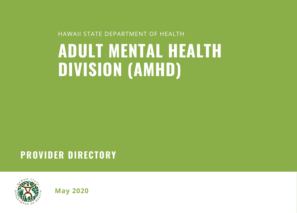# HAWAII STATE DEPARTMENT OF HEALTH

# **ADULT MENTAL HEALTHDIVISION (AMHD)**

# **PROVIDER DIRECTORY**



**May <sup>2020</sup>**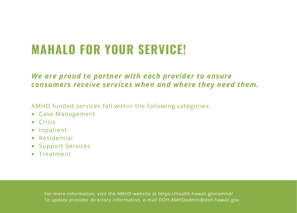# **MAHALO FOR YOUR SERVICE!**

## *We are proud to partner with each provider to ensure consumers receive services when and where they need them.*

AMHD funded services fall within the following categories:

- Case Management
- Crisis
- $\bullet$ Inpatient
- Residential
- Support Services
- Treatment

For more information, visit the AMHD website at https://health.hawaii.gov/amhd/ To update provider directory information, e-mail DOH.AMHDadmin@doh.hawaii.gov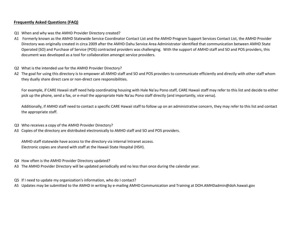#### **Frequently Asked Questions (FAQ)**

- Q1 When and why was the AMHD Provider Directory created?
- A1 Formerly known as the AMHD Statewide Service Coordinator Contact List and the AMHD Program Support Services Contact List, the AMHD Provider Directory was originally created in circa 2009 after the AMHD Oahu Service Area Administrator identified that communication between AMHD State Operated (SO) and Purchase of Service (POS) contracted providers was challenging. With the support of AMHD staff and SO and POS providers, this document was developed as a tool for collaboration amongst service providers.
- Q2 What is the intended use for the AMHD Provider Directory?
- A2 The goal for using this directory is to empower all AMHD staff and SO and POS providers to communicate efficiently and directly with other staff whom they dually share direct care or non-direct care responsibilities.

For example, if CARE Hawaii staff need help coordinating housing with Hale Na'au Pono staff, CARE Hawaii staff may refer to this list and decide to either pick up the phone, send a fax, or e-mail the appropriate Hale Na'au Pono staff directly (and importantly, vice versa).

Additionally, if AMHD staff need to contact a specific CARE Hawaii staff to follow up on an administrative concern, they may refer to this list and contact the appropriate staff.

- Q3 Who receives a copy of the AMHD Provider Directory?
- A3 Copies of the directory are distributed electronically to AMHD staff and SO and POS providers.

AMHD staff statewide have access to the directory via internal Intranet access. Electronic copies are shared with staff at the Hawaii State Hospital (HSH).

- Q4 How often is the AMHD Provider Directory updated?
- A3 The AMHD Provider Directory will be updated periodically and no less than once during the calendar year.
- Q5 If I need to update my organization's information, who do I contact?
- A5 Updates may be submitted to the AMHD in writing by e-mailing AMHD Communication and Training at DOH.AMHDadmin@doh.hawaii.gov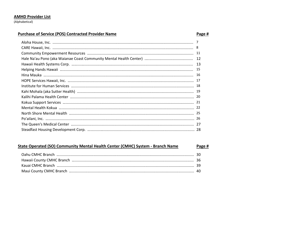#### **AMHD Provider List**

(Alphabetical)

#### **Purchase of Service (POS) Contracted Provider Name**

#### Page #

| 8  |
|----|
|    |
|    |
| 13 |
| 15 |
| 16 |
|    |
| 18 |
| 19 |
|    |
|    |
|    |
|    |
|    |
|    |
|    |

#### State Operated (SO) Community Mental Health Center (CMHC) System - Branch Name Page #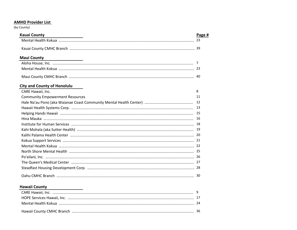## **AMHD Provider List**

(by County)

| <b>Kauai County</b>                    | Page # |
|----------------------------------------|--------|
|                                        |        |
|                                        |        |
| <b>Maui County</b>                     |        |
|                                        |        |
|                                        |        |
|                                        |        |
| <b>City and County of Honolulu</b>     |        |
| CARE Hawaii, Inc.                      | 8      |
| <b>Community Empowerment Resources</b> | 11     |
|                                        | 12     |
|                                        |        |
|                                        |        |
|                                        | 16     |
|                                        |        |
|                                        | 19     |
|                                        |        |
|                                        |        |
|                                        |        |
|                                        |        |
|                                        |        |
|                                        |        |
|                                        |        |
|                                        | 30     |

## **Hawaii County**

| Mental Health Kokua muunnummuunnummuunnummuunnummuunnummuunnummuunnummuunnummuun 24 |  |
|-------------------------------------------------------------------------------------|--|
|                                                                                     |  |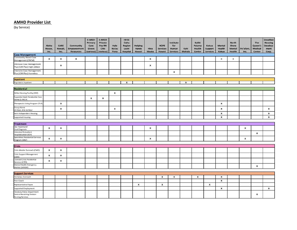#### **AMHD Provider List**

(by Service)

|                                                                                            | Aloha<br>House,<br>Inc. | <b>CARE</b><br>Hawaii,<br>Inc. | Community<br><b>Empowerment</b><br><b>Resources</b> | <b>E-ARCH</b><br>Primary<br>Care<br><b>Givers</b><br>(various) | <b>E-ARCH</b><br>Private<br>Pay RN<br><b>CMs</b><br>(various) | Hale<br>Na'au<br>Pono | <b>HHSC</b><br>Oahu<br>Region<br>Leahi<br><b>Hospital</b> | <b>Helping</b><br>Hands<br>Hawaii | Hina<br>Mauka | <b>HOPE</b><br><b>Services</b><br>Hawaii | Institute<br>for<br>Human<br><b>Services</b> | Kahi<br>Mohala | Kalihi<br>Palama<br>Health<br>Center | Kokua<br><b>Support</b><br><b>Services</b> | <b>Mental</b><br>Health<br>Kokua | <b>North</b><br><b>Shore</b><br><b>Mental</b><br>Health | Po'ailani,<br>Inc. | The<br>Queen's<br><b>Medical</b><br><b>Center</b> | <b>Steadfast</b><br>Housing<br>Develop-<br>ment<br>Corp. |
|--------------------------------------------------------------------------------------------|-------------------------|--------------------------------|-----------------------------------------------------|----------------------------------------------------------------|---------------------------------------------------------------|-----------------------|-----------------------------------------------------------|-----------------------------------|---------------|------------------------------------------|----------------------------------------------|----------------|--------------------------------------|--------------------------------------------|----------------------------------|---------------------------------------------------------|--------------------|---------------------------------------------------|----------------------------------------------------------|
| <b>Case Management</b>                                                                     |                         |                                |                                                     |                                                                |                                                               |                       |                                                           |                                   |               |                                          |                                              |                |                                      |                                            |                                  |                                                         |                    |                                                   |                                                          |
| <b>Community Based Case</b>                                                                | x                       | x                              | x                                                   |                                                                |                                                               |                       |                                                           |                                   | x             |                                          |                                              |                |                                      |                                            | x                                | x                                                       |                    |                                                   |                                                          |
| Management (CBCM)                                                                          |                         |                                |                                                     |                                                                |                                                               |                       |                                                           |                                   |               |                                          |                                              |                |                                      |                                            |                                  |                                                         |                    |                                                   |                                                          |
| <b>Intensive Case Management</b><br>Plus (ICM Plus) High Utilizer                          |                         | x                              |                                                     |                                                                |                                                               |                       |                                                           |                                   | x             |                                          |                                              |                |                                      |                                            |                                  |                                                         |                    |                                                   |                                                          |
| <b>Intensive Case Management</b><br>Plus (ICM Plus) Homeless                               |                         |                                |                                                     |                                                                |                                                               |                       |                                                           |                                   |               |                                          | x                                            |                |                                      |                                            |                                  |                                                         |                    |                                                   |                                                          |
| Inpatient                                                                                  |                         |                                |                                                     |                                                                |                                                               |                       |                                                           |                                   |               |                                          |                                              |                |                                      |                                            |                                  |                                                         |                    |                                                   |                                                          |
| Psychiatric Inpatient                                                                      |                         |                                |                                                     |                                                                |                                                               |                       | x                                                         |                                   |               |                                          |                                              | x              |                                      |                                            |                                  |                                                         |                    |                                                   |                                                          |
|                                                                                            |                         |                                |                                                     |                                                                |                                                               |                       |                                                           |                                   |               |                                          |                                              |                |                                      |                                            |                                  |                                                         |                    |                                                   |                                                          |
| <b>Residential</b>                                                                         |                         |                                |                                                     |                                                                |                                                               |                       |                                                           |                                   |               |                                          |                                              |                |                                      |                                            |                                  |                                                         |                    |                                                   |                                                          |
| Skilled Nursing Facility (SNF)                                                             |                         |                                |                                                     |                                                                |                                                               | x                     |                                                           |                                   |               |                                          |                                              |                |                                      |                                            |                                  |                                                         |                    |                                                   |                                                          |
| <b>Expanded Adult Residential Care</b><br>Home (E-ARCH)                                    |                         |                                |                                                     | x                                                              | X                                                             |                       |                                                           |                                   |               |                                          |                                              |                |                                      |                                            |                                  |                                                         |                    |                                                   |                                                          |
| Therapeutic Living Program (TLP)                                                           |                         | X                              |                                                     |                                                                |                                                               |                       |                                                           |                                   |               |                                          |                                              |                |                                      |                                            | x                                |                                                         |                    |                                                   |                                                          |
| Group Home<br>24-hour, 8 to 16-hour                                                        |                         | X                              |                                                     |                                                                |                                                               | x                     |                                                           |                                   |               |                                          |                                              |                |                                      |                                            | x                                |                                                         |                    |                                                   | x                                                        |
| Semi-Independent Housing                                                                   |                         |                                |                                                     |                                                                |                                                               |                       |                                                           |                                   |               |                                          |                                              |                |                                      |                                            | x                                |                                                         |                    |                                                   | x                                                        |
| <b>Supported Housing</b>                                                                   |                         |                                |                                                     |                                                                |                                                               |                       |                                                           |                                   |               |                                          |                                              |                |                                      |                                            | x                                |                                                         |                    |                                                   | x                                                        |
|                                                                                            |                         |                                |                                                     |                                                                |                                                               |                       |                                                           |                                   |               |                                          |                                              |                |                                      |                                            |                                  |                                                         |                    |                                                   |                                                          |
| <b>Treatment</b><br>Day Treatment/                                                         |                         |                                |                                                     |                                                                |                                                               |                       |                                                           |                                   |               |                                          |                                              |                |                                      |                                            |                                  |                                                         |                    |                                                   |                                                          |
| <b>Dual Diagnosis</b>                                                                      | x                       | x                              |                                                     |                                                                |                                                               |                       |                                                           |                                   | x             |                                          |                                              |                |                                      |                                            |                                  |                                                         | x                  |                                                   |                                                          |
| <b>Intensive Outpatient</b><br>Hospitalization (IOH)                                       |                         |                                |                                                     |                                                                |                                                               |                       |                                                           |                                   |               |                                          |                                              |                |                                      |                                            |                                  |                                                         |                    | x                                                 |                                                          |
| <b>Specialized Residential Services</b><br>Program (SRSP)                                  | x                       | X                              |                                                     |                                                                |                                                               |                       |                                                           |                                   | X             |                                          |                                              |                |                                      |                                            |                                  |                                                         | X                  |                                                   |                                                          |
|                                                                                            |                         |                                |                                                     |                                                                |                                                               |                       |                                                           |                                   |               |                                          |                                              |                |                                      |                                            |                                  |                                                         |                    |                                                   |                                                          |
| <b>Crisis</b>                                                                              |                         |                                |                                                     |                                                                |                                                               |                       |                                                           |                                   |               |                                          |                                              |                |                                      |                                            |                                  |                                                         |                    |                                                   |                                                          |
| Crisis Mobile Outreach (CMO)<br><b>Crisis Support Management</b>                           | x                       | X                              |                                                     |                                                                |                                                               |                       |                                                           |                                   |               |                                          |                                              |                |                                      |                                            |                                  |                                                         |                    |                                                   |                                                          |
| CSM)                                                                                       | x                       | X                              |                                                     |                                                                |                                                               |                       |                                                           |                                   |               |                                          |                                              |                |                                      |                                            |                                  |                                                         |                    |                                                   |                                                          |
| Licensed Crisis Residential<br>Services (LCRS)                                             | x                       | X                              |                                                     |                                                                |                                                               |                       |                                                           |                                   |               |                                          |                                              |                |                                      |                                            |                                  |                                                         |                    |                                                   |                                                          |
| Mental Health Emergency<br>Worker (MHEW)                                                   |                         |                                |                                                     |                                                                |                                                               |                       |                                                           |                                   |               |                                          |                                              |                |                                      |                                            |                                  |                                                         |                    | x                                                 |                                                          |
| <b>Support Services</b>                                                                    |                         |                                |                                                     |                                                                |                                                               |                       |                                                           |                                   |               |                                          |                                              |                |                                      |                                            |                                  |                                                         |                    |                                                   |                                                          |
| Homeless Outreach                                                                          |                         |                                |                                                     |                                                                |                                                               |                       |                                                           |                                   |               | x                                        | X                                            |                | x                                    |                                            | x                                |                                                         |                    |                                                   |                                                          |
| Peer Coach                                                                                 |                         |                                |                                                     |                                                                |                                                               |                       |                                                           |                                   |               |                                          |                                              |                |                                      |                                            | x                                |                                                         |                    |                                                   |                                                          |
| <b>Representative Payee</b>                                                                |                         |                                |                                                     |                                                                |                                                               |                       |                                                           | x                                 |               | x                                        |                                              |                |                                      | X                                          |                                  |                                                         |                    |                                                   |                                                          |
| Supported Employment                                                                       |                         |                                |                                                     |                                                                |                                                               |                       |                                                           |                                   |               |                                          |                                              |                |                                      |                                            | x                                |                                                         |                    |                                                   | х                                                        |
| Honolulu Police Department<br><b>Central Receiving Division</b><br><b>Nursing Services</b> |                         |                                |                                                     |                                                                |                                                               |                       |                                                           |                                   |               |                                          |                                              |                |                                      |                                            |                                  |                                                         |                    | X                                                 |                                                          |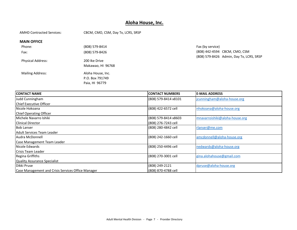#### **Aloha House, Inc.**

AMHD Contracted Services: CBCM, CMO, CSM, Day Tx, LCRS, SRSP

#### **MAIN OFFICE**

| Phone:                   | (808) 579-8414                                         |
|--------------------------|--------------------------------------------------------|
| Fax:                     | (808) 579-8426                                         |
| <b>Physical Address:</b> | 200 Ike Drive<br>Makawao, HI 96768                     |
| <b>Mailing Address:</b>  | Aloha House, Inc.<br>P.O. Box 791749<br>Paia. HI 96779 |

Fax (by service) (808) 442-4594 CBCM, CMO, CSM (808) 579-8426 Admin, Day Tx, LCRS, SRSP

| <b>ICONTACT NAME</b>                               | <b>CONTACT NUMBERS</b> | <b>E-MAIL ADDRESS</b>          |
|----------------------------------------------------|------------------------|--------------------------------|
| Judd Cunningham                                    | (808) 579-8414 x8101   | jcunningham@aloha-house.org    |
| Chief Executive Officer                            |                        |                                |
| Nicole Hokoana                                     | (808) 422-6572 cell    | nhokoana@aloha-house.org       |
| Chief Operating Officer                            |                        |                                |
| Michele Navarro Ishiki                             | (808) 579-8414 x8603   | mnavarroishiki@aloha-house.org |
| Clinical Director                                  | (808) 276-7243 cell    |                                |
| <b>Bob Lanser</b>                                  | (808) 280-4842 cell    | rlanser@me.com                 |
| Adult Services Team Leader                         |                        |                                |
| lAudra McDonnell                                   | (808) 242-1660 cell    | amcdonnell@aloha-house.org     |
| Case Management Team Leader                        |                        |                                |
| Nicole Edwards                                     | (808) 250-4496 cell    | nedwards@aloha-house.org       |
| Crisis Team Leader                                 |                        |                                |
| Regina Griffiths                                   | (808) 270-3001 cell    | gina.alohahouse@gmail.com      |
| Quality Assurance Specialist                       |                        |                                |
| Dikki Pruse                                        | (808) 249-2121         | dpruse@aloha-house.org         |
| Case Management and Crisis Services Office Manager | (808) 870-4788 cell    |                                |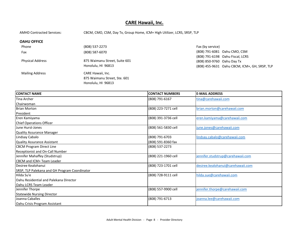#### **CARE Hawaii, Inc.**

AMHD Contracted Services: CBCM, CMO, CSM, Day Tx, Group Home, ICM+ High Utilizer, LCRS, SRSP, TLP

#### **OAHU OFFICE**

| Phone                   | (808) 537-2273                | Fax (by service)                              |
|-------------------------|-------------------------------|-----------------------------------------------|
| Fax                     | (808) 587-6070                | (808) 791-6081 Oahu CMO, CSM                  |
|                         |                               | (808) 791-6198 Oahu Fiscal, LCRS              |
| <b>Physical Address</b> | 875 Waimanu Street, Suite 601 | (808) 850-9760 Oahu Day Tx                    |
|                         | Honolulu, HI 96813            | (808) 455-9631 Oahu CBCM, ICM+, GH, SRSP, TLP |
| <b>Mailing Address</b>  | CARE Hawaii, Inc.             |                                               |
|                         | 875 Waimanu Street, Ste. 601  |                                               |
|                         | Honolulu, HI 96813            |                                               |

| <b>CONTACT NAME</b>                           | <b>CONTACT NUMBERS</b> | <b>E-MAIL ADDRESS</b>             |
|-----------------------------------------------|------------------------|-----------------------------------|
| Tina Archer                                   | (808) 791-6167         | tina@carehawaii.com               |
| Chairwoman                                    |                        |                                   |
| <b>Brian Morton</b>                           | (808) 223-7271 cell    | brian.morton@carehawaii.com       |
| President                                     |                        |                                   |
| Eren Kamiyama                                 | (808) 391-3736 cell    | eren.kamiyama@carehawaii.com      |
| Chief Operations Officer                      |                        |                                   |
| <b>June Hurst-Jones</b>                       | (808) 561-5830 cell    | june.jones@carehawaii.com         |
| Quality Assurance Manager                     |                        |                                   |
| Lindsay Cabalo                                | (808) 791-6703         | lindsay.cabalo@carehawaii.com     |
| Quality Assurance Assistant                   | (808) 591-8360 fax     |                                   |
| <b>CBCM Program Direct Line</b>               | (808) 537-2273         |                                   |
| Receptionist and On-Call Number               |                        |                                   |
| Jennifer Mahaffey (Studstrup)                 | (808) 221-1960 cell    | jennifer.studstrup@carehawaii.com |
| CBCM and ICM+ Team Leader                     |                        |                                   |
| Desiree Kealohanui                            | (808) 723-1701 cell    | desiree.kealohanui@carehawaii.com |
| SRSP, TLP Palekana and GH Program Coordinator |                        |                                   |
| Hilda Su'e                                    | (808) 728-9111 cell    | hilda.sue@carehawaii.com          |
| lOahu Residential and Palekana Director       |                        |                                   |
| Oahu LCRS Team Leader                         |                        |                                   |
| Jennifer Thorpe                               | (808) 557-9900 cell    | jennifer.thorpe@carehawaii.com    |
| <b>Statewide Nursing Director</b>             |                        |                                   |
| Joanna Caballes                               | (808) 791-6713         | joanna.lee@carehawaii.com         |
| Oahu Crisis Program Assistant                 |                        |                                   |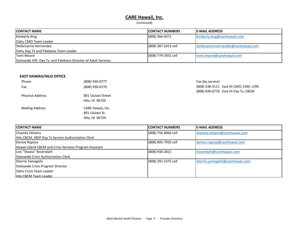#### **CARE Hawaii, Inc.**

(continued)

| <b>ICONTACT NAME</b>                                           | <b>ICONTACT NUMBERS</b> | <b>IE-MAIL ADDRESS</b>               |
|----------------------------------------------------------------|-------------------------|--------------------------------------|
| Kimberly King                                                  | $(808) 366 - 4371$      | kimberly.king@carehawaii.com         |
| Oahu CMO Team Leader                                           |                         |                                      |
| <b>I</b> Stefanianne Hernandez                                 | (808) 387-2413 cell     | stefanianne.hernandez@carehawaii.com |
| Oahu Day Tx and Palekana Team Leader                           |                         |                                      |
| <b>Tomi Moore</b>                                              | (808) 779-2931 cell     | tomi.moore@carehawaii.com            |
| Statewide IOP, Day Tx, and Palekana Director of Adult Services |                         |                                      |

#### **EAST HAWAII/HILO OFFICE**

| Phone                   | (808) 930-0777                                         |
|-------------------------|--------------------------------------------------------|
| Fax                     | (808) 930-0770                                         |
| <b>Physical Address</b> | 891 Ululani Street<br>Hilo, HI 96720                   |
| <b>Mailing Address</b>  | CARE Hawaii, Inc.<br>891 Ululani St.<br>Hilo. HI 96720 |

Fax (by service) (808) 238-3111 East HI CMO, CSM, LCRS (808) 930-0770 East HI Day Tx, CBCM

| <b>ICONTACT NAME</b>                                     | <b>ICONTACT NUMBERS</b> | <b>IE-MAIL ADDRESS</b>           |
|----------------------------------------------------------|-------------------------|----------------------------------|
| <b>Chastity Oliveira</b>                                 | (808) 756-8966 cell     | chastity.oliveira@carehawaii.com |
| Hilo CBCM, SRSP Day Tx Service Authorization Clerk       |                         |                                  |
| Denise Rapoza                                            | (808) 895-7935 cell     | denise.rapoza@carehawaii.com     |
| Hawaii Island CBCM and Crisis Services Program Assistant |                         |                                  |
| Lois "Shasta" Rosendahl                                  | (808) 930-2821          | Irosendahl@carehawaii.com        |
| Statewide Crisis Authorization Clerk                     |                         |                                  |
| Sherrie Yamagishi                                        | (808) 291-5375 cell     | sherrie.yamagishi@carehawaii.com |
| Statewide Crisis Program Director                        |                         |                                  |
| <b>IOahu Crisis Team Leader</b>                          |                         |                                  |
| Hilo CBCM Team Leader                                    |                         |                                  |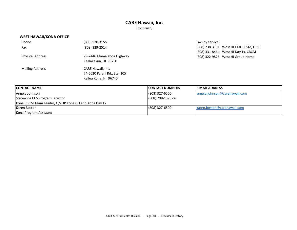#### **CARE Hawaii, Inc.**

(continued)

#### **WEST HAWAII/KONA OFFICE**

| Phone                   | (808) 930-3155                                                             |
|-------------------------|----------------------------------------------------------------------------|
| Fax                     | (808) 329-2514                                                             |
| <b>Physical Address</b> | 79-7446 Mamalahoa Highway<br>Kealakekua, HJ 96750                          |
| <b>Mailing Address</b>  | CARE Hawaii, Inc.<br>74-5620 Palani Rd., Ste. 105<br>Kailua Kona, HI 96740 |

Fax (by service) (808) 238-3111 West HI CMO, CSM, LCRS (808) 331-8464 West HI Day Tx, CBCM (808) 322-9826 West HI Group Home

| <b>ICONTACT NAME</b>                                | <b>ICONTACT NUMBERS</b> | <b>IE-MAIL ADDRESS</b>        |
|-----------------------------------------------------|-------------------------|-------------------------------|
| Angela Johnson                                      | $(808)$ 327-6500        | angela.johnson@carehawaii.com |
| Statewide CCS Program Director                      | (808) 798-1373 cell     |                               |
| Kona CBCM Team Leader, QMHP Kona GH and Kona Day Tx |                         |                               |
| <b>Karen Boston</b>                                 | $(808)$ 327-6500        | karen.boston@carehawaii.com   |
| Kona Program Assistant                              |                         |                               |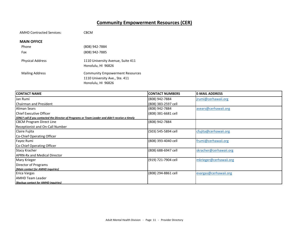## **Community Empowerment Resources (CER)**

| <b>AMHD Contracted Services:</b> | <b>CBCM</b>                                                                                    |
|----------------------------------|------------------------------------------------------------------------------------------------|
| <b>MAIN OFFICE</b>               |                                                                                                |
| Phone                            | (808) 942-7884                                                                                 |
| Fax                              | (808) 942-7885                                                                                 |
| <b>Physical Address</b>          | 1110 University Avenue, Suite 411<br>Honolulu, HI 96826                                        |
| <b>Mailing Address</b>           | <b>Community Empowerment Resources</b><br>1110 University Ave., Ste. 411<br>Honolulu, HI 96826 |

| <b>ICONTACT NAME</b>                                                                            | <b>CONTACT NUMBERS</b> | <b>E-MAIL ADDRESS</b>  |
|-------------------------------------------------------------------------------------------------|------------------------|------------------------|
| Jan Rumi                                                                                        | (808) 942-7884         | jrumi@cerhawaii.org    |
| Chairman and President                                                                          | (808) 383-2597 cell    |                        |
| Aliman Sears                                                                                    | (808) 942-7884         | asears@cerhawaii.org   |
| <b>I</b> Chief Executive Officer                                                                | (808) 381-6681 cell    |                        |
| (ONLY call if you contacted the Director of Programs or Team Leader and didn't receive a timely |                        |                        |
| <b>CBCM Program Direct Line</b>                                                                 | (808) 942-7884         |                        |
| <b>Receptionist and On-Call Number</b>                                                          |                        |                        |
| Claire Fujita                                                                                   | (503) 545-5894 cell    | cfujita@cerhawaii.org  |
| Co-Chief Operating Officer                                                                      |                        |                        |
| Fayez Rumi                                                                                      | (808) 393-4040 cell    | frumi@cerhawaii.org    |
| Co-Chief Operating Officer                                                                      |                        |                        |
| Stacy Kracher                                                                                   | (808) 688-6947 cell    | skracher@cerhawaii.org |
| <b>APRN-Rx and Medical Director</b>                                                             |                        |                        |
| Mary Krieger                                                                                    | (919) 721-7904 cell    | mkrieger@cerhawaii.org |
| Director of Programs                                                                            |                        |                        |
| (Main contact for AMHD inquiries)                                                               |                        |                        |
| Erica Vargas                                                                                    | (808) 294-8861 cell    | evargas@cerhawaii.org  |
| <b>AMHD Team Leader</b>                                                                         |                        |                        |
| <i>(Backup contact for AMHD inquiries)</i>                                                      |                        |                        |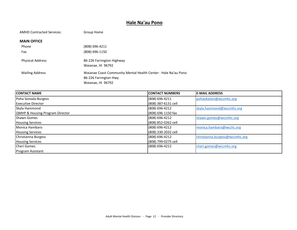## **Hale Na'au Pono**

| <b>AMHD Contracted Services:</b> | Group Home                                                                                                    |
|----------------------------------|---------------------------------------------------------------------------------------------------------------|
| <b>MAIN OFFICE</b>               |                                                                                                               |
| Phone                            | (808) 696-4211                                                                                                |
| Fax                              | (808) 696-1150                                                                                                |
| <b>Physical Address</b>          | 86-226 Farrington Highway<br>Waianae. HI 96792                                                                |
| <b>Mailing Address</b>           | Waianae Coast Community Mental Health Center - Hale Na'au Pono<br>86-226 Farrington Hwy.<br>Waianae, HI 96792 |

| <b>CONTACT NAME</b>                        | <b>ICONTACT NUMBERS</b> | <b>IE-MAIL ADDRESS</b>         |
|--------------------------------------------|-------------------------|--------------------------------|
| Poha Sonoda-Burgess                        | (808) 696-4211          | pohaokalani@wccmhc.org         |
| <b>IExecutive Director</b>                 | (808) 387-6131 cell     |                                |
| Skyla Hammond                              | (808) 696-4212          | skyla.hammond@wccmhc.org       |
| <b>QMHP &amp; Housing Program Director</b> | $(808)$ 696-1150 fax    |                                |
| <b>Shawn Gomes</b>                         | (808) 696-4212          | shawn.gomes@wccmhc.org         |
| <b>Housing Services</b>                    | (808) 852-0262 cell     |                                |
| Monica Hambaro                             | (808) 696-4212          | monica.hambaro@wcchc.org       |
| <b>Housing Services</b>                    | (808) 330-2032 cell     |                                |
| Christianna Burgess                        | (808) 696-4212          | christianna.burgess@wccmhc.org |
| <b>Housing Services</b>                    | (808) 799-0275 cell     |                                |
| Cheri Gomes                                | (808) 696-4212          | cheri.gomes@wccmhc.org         |
| <b>Program Assistant</b>                   |                         |                                |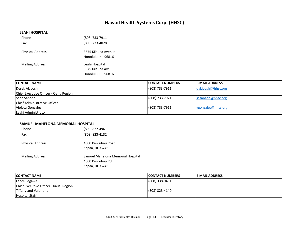## **HawaiI Health Systems Corp. (HHSC)**

#### **LEAHI HOSPITAL**

| Phone                   | (808) 733-7911                                            |
|-------------------------|-----------------------------------------------------------|
| Fax                     | (808) 733-4028                                            |
| <b>Physical Address</b> | 3675 Kilauea Avenue<br>Honolulu, HI 96816                 |
| <b>Mailing Address</b>  | Leahi Hospital<br>3675 Kilauea Ave.<br>Honolulu, HI 96816 |

| <b>ICONTACT NAME</b>                  | <b>ICONTACT NUMBERS</b> | <b>IE-MAIL ADDRESS</b> |
|---------------------------------------|-------------------------|------------------------|
| Derek Akiyoshi                        | $(808) 733 - 7911$      | dakiyoshi@hhsc.org     |
| Chief Executive Officer - Oahu Region |                         |                        |
| Sean Sanada                           | (808) 733-7921          | sesanada@hhsc.org      |
| Chief Administrative Officer          |                         |                        |
| Violeta Gonzales                      | $(808) 733 - 7911$      | vgonzales@hhsc.org     |
| Leahi Administrator                   |                         |                        |

#### **SAMUEL MAHELONA MEMORIAL HOSPITAL**

| Phone                   | (808) 822-4961                                                            |
|-------------------------|---------------------------------------------------------------------------|
| Fax                     | (808) 823-4132                                                            |
| <b>Physical Address</b> | 4800 Kawaihau Road<br>Kapaa, HI 96746                                     |
| <b>Mailing Address</b>  | Samuel Mahelona Memorial Hospital<br>4800 Kawaihau Rd.<br>Kapaa, HI 96746 |

| <b>ICONTACT NAME</b>                   | <b>ICONTACT NUMBERS</b> | <b>IE-MAIL ADDRESS</b> |
|----------------------------------------|-------------------------|------------------------|
| Lance Segawa                           | $(808)$ 338-9431        |                        |
| Chief Executive Officer - Kauai Region |                         |                        |
| Tiffany and Valentina                  | $(808) 823 - 4140$      |                        |
| <b>Hospital Staff</b>                  |                         |                        |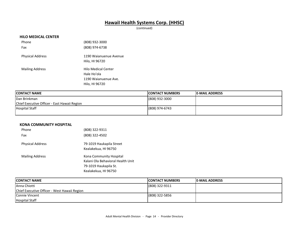## **HawaiI Health Systems Corp. (HHSC)**

(continued)

#### **HILO MEDICAL CENTER**

| Phone                   | (808) 932-3000                                                                      |
|-------------------------|-------------------------------------------------------------------------------------|
| Fax                     | (808) 974-6738                                                                      |
| <b>Physical Address</b> | 1190 Waianuenue Avenue<br>Hilo, HI 96720                                            |
| <b>Mailing Address</b>  | <b>Hilo Medical Center</b><br>Hale Ho'ola<br>1190 Waianuenue Ave.<br>Hilo, HI 96720 |

| <b>ICONTACT NAME</b>                         | <b>ICONTACT NUMBERS</b> | <b>E-MAIL ADDRESS</b> |
|----------------------------------------------|-------------------------|-----------------------|
| Dan Brinkman                                 | $(808)$ 932-3000        |                       |
| Chief Executive Officer - East Hawaii Region |                         |                       |
| <b>Hospital Staff</b>                        | (808) 974-6743          |                       |
|                                              |                         |                       |

#### **KONA COMMUNITY HOSPITAL**

| Phone                   | (808) 322-9311                                                                                                |
|-------------------------|---------------------------------------------------------------------------------------------------------------|
| Fax                     | (808) 322-4502                                                                                                |
| <b>Physical Address</b> | 79-1019 Haukapila Street<br>Kealakekua, HI 96750                                                              |
| <b>Mailing Address</b>  | Kona Community Hospital<br>Kalani Ola Behavioral Health Unit<br>79-1019 Haukapila St.<br>Kealakekua, HI 96750 |

| <b>ICONTACT NAME</b>                         | <b>ICONTACT NUMBERS</b> | <b>IE-MAIL ADDRESS</b> |
|----------------------------------------------|-------------------------|------------------------|
| lAnna Chiotti                                | (808) 322-9311          |                        |
| Chief Executive Officer - West Hawaii Region |                         |                        |
| Connie Vincent                               | (808) 322-5856          |                        |
| <b>Hospital Staff</b>                        |                         |                        |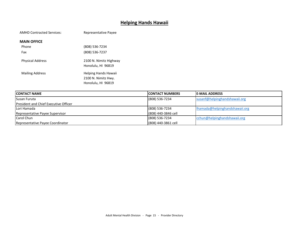## **Helping Hands Hawaii**

| <b>AMHD Contracted Services:</b> | Representative Payee                                              |
|----------------------------------|-------------------------------------------------------------------|
| <b>MAIN OFFICE</b>               |                                                                   |
| Phone                            | (808) 536-7234                                                    |
| Fax                              | (808) 536-7237                                                    |
| <b>Physical Address</b>          | 2100 N. Nimitz Highway<br>Honolulu, HI 96819                      |
| <b>Mailing Address</b>           | Helping Hands Hawaii<br>2100 N. Nimitz Hwy.<br>Honolulu, HI 96819 |

| <b>ICONTACT NAME</b>                  | <b>ICONTACT NUMBERS</b> | <b>IE-MAIL ADDRESS</b>         |
|---------------------------------------|-------------------------|--------------------------------|
| <b>I</b> Susan Furuta                 | $(808) 536 - 7234$      | susanf@helpinghandshawaii.org  |
| President and Chief Executive Officer |                         |                                |
| Lori Hamada                           | $(808) 536 - 7234$      | Ihamada@helpinghandshawaii.org |
| Representative Payee Supervisor       | (808) 440-3846 cell     |                                |
| Carol Chun                            | $(808)$ 536-7234        | cchun@helpinghandshawaii.org   |
| Representative Payee Coordinator      | (808) 440-3861 cell     |                                |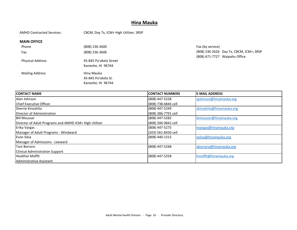#### **Hina Mauka**

AMHD Contracted Services: CBCM, Day Tx, ICM+ High Utilizer, SRSP

#### **MAIN OFFICE**

| Phone                   | (808) 236-2600                                         |
|-------------------------|--------------------------------------------------------|
| Fax                     | (808) 236-3606                                         |
| <b>Physical Address</b> | 45-845 Po'okela Street<br>Kaneohe, HJ 96744            |
| <b>Mailing Address</b>  | Hina Mauka<br>45-845 Po'okela St.<br>Kaneohe. HI 96744 |

Fax (by service) (808) 236-2626 Day Tx, CBCM, ICM+, SRSP (808) 671-7727 Waipahu Office

| <b>ICONTACT NAME</b>                                   | <b>ICONTACT NUMBERS</b> | <b>E-MAIL ADDRESS</b>    |
|--------------------------------------------------------|-------------------------|--------------------------|
| Alan Johnson                                           | (808) 447-5228          | ajohnson@hinamauka.org   |
| <b>Chief Executive Officer</b>                         | (808) 738-6846 cell     |                          |
| <b>Sherrie Kinoshita</b>                               | (808) 447-5249          | skinoshita@hinamauka.org |
| Director of Administration                             | (808) 386-7791 cell     |                          |
| <b>Bill Mousser</b>                                    | (808) 447-5282          | bmousser@hinamauka.org   |
| Director of Adult Programs and AMHD ICM+ High Utilizer | (808) 306-9842 cell     |                          |
| Erika Vargas                                           | (808) 447-5275          | evargas@hinamauka.org    |
| Manager of Adult Programs - Windward                   | (203) 561-8430 cell     |                          |
| <b>IEvon Silva</b>                                     | (808) 440-1315          | esliva@hinamauka.org     |
| Manager of Admissions - Leeward                        |                         |                          |
| Toni Borrero                                           | (808) 447-5248          | aborrero@hinamauka.org   |
| <b>Clinical Administration Support</b>                 |                         |                          |
| <b>Healther Moffit</b>                                 | (808) 447-5258          | hmoffit@hinamauka.org    |
| Administrative Assistant                               |                         |                          |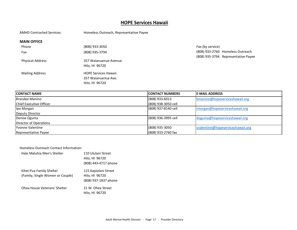#### **HOPE Services Hawaii**

AMHD Contracted Services: Homeless Outreach, Representative Payee

#### **MAIN OFFICE**

| Phone                   | (808) 933-3050                                                       |
|-------------------------|----------------------------------------------------------------------|
| Fax                     | (808) 935-3794                                                       |
| <b>Physical Address</b> | 357 Waianuenue Avenue<br>Hilo. HI 96720                              |
| <b>Mailing Address</b>  | <b>HOPE Services Hawaii</b><br>357 Waianuenue Ave.<br>Hilo, HI 96720 |

Fax (by service) (808) 933-2760 Homeless Outreach (808) 935-3794 Representative Payee

| <b>ICONTACT NAME</b>    | <b>ICONTACT NUMBERS</b> | <b>IE-MAIL ADDRESS</b>            |
|-------------------------|-------------------------|-----------------------------------|
| <b>Brandee Menino</b>   | (808) 933-6013          | bmenino@hopeserviceshawaii.org    |
| Chief Executive Officer | (808) 938-3050 cell     |                                   |
| Ipo Morgan              | (808) 937-8140 cell     | imorgan@hopeserviceshawaii.org    |
| Deputy Director         |                         |                                   |
| Denise Oguma            | (808) 936-3995 cell     | doguma@hopeserviceshawaii.org     |
| Director of Operations  |                         |                                   |
| IYvonne Valentine       | (808) 935-3050          | yvalentine@hopeserviceshawaii.org |
| Representative Payee    | (808) 933-2760 fax      |                                   |

#### Homeless Outreach Contact Information:

| Hale Maluhia Men's Shelter                                   | 110 Ululani Street<br>Hilo, HI 96720<br>(808) 443-4717 phone   |
|--------------------------------------------------------------|----------------------------------------------------------------|
| Kihei Pua Family Shelter<br>(Family, Single Women or Couple) | 115 Kapiolani Street<br>Hilo, HI 96720<br>(808) 937-1837 phone |
| Ohea House Veterans' Shelter                                 | 21 W. Ohea Street<br>Hilo, HI 96720                            |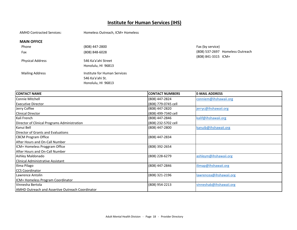## **Institute for Human Services (IHS)**

AMHD Contracted Services: Homeless Outreach, ICM+ Homeless

#### **MAIN OFFICE**

| Phone                   | (808) 447-2800                                                         |
|-------------------------|------------------------------------------------------------------------|
| Fax                     | (808) 848-6028                                                         |
| <b>Physical Address</b> | 546 Ka'a'ahi Street<br>Honolulu, HI 96813                              |
| <b>Mailing Address</b>  | Institute for Human Services<br>546 Ka'a'ahi St.<br>Honolulu, HI 96813 |

Fax (by service) (808) 537-2697 Homeless Outreach (808) 841-3315 ICM+

| <b>CONTACT NAME</b>                                     | <b>CONTACT NUMBERS</b> | <b>E-MAIL ADDRESS</b>   |
|---------------------------------------------------------|------------------------|-------------------------|
| <b>Connie Mitchell</b>                                  | (808) 447-2824         | conniem@ihshawaii.org   |
| <b>Executive Director</b>                               | (808) 779-0745 cell    |                         |
| Jerry Coffee                                            | (808) 447-2820         | jerryc@ihshawaii.org    |
| <b>Clinical Director</b>                                | (808) 499-7340 cell    |                         |
| Kali French                                             | (808) 447-2846         | kalif@ihshawaii.org     |
| Director of Clinical Programs Administration            | (808) 232-5702 cell    |                         |
| Kanui Bell                                              | (808) 447-2800         | kanuib@ihshawaii.org    |
| Director of Grants and Evaluations                      |                        |                         |
| <b>CBCM Program Office</b>                              | (808) 447-2834         |                         |
| After Hours and On-Call Number                          |                        |                         |
| ICM+ Homeless Proggram Office                           | (808) 392-2654         |                         |
| After Hours and On-Call Number                          |                        |                         |
| Ashley Maldonado                                        | (808) 228-6279         | ashleym@ihshawaii.org   |
| <b>Clinical Administrative Assistant</b>                |                        |                         |
| Ilima Pilago                                            | (808) 447-2846         | ilimap@ihshawaii.org    |
| <b>ICCS Coordinator</b>                                 |                        |                         |
| Lawrence Antolin                                        | (808) 321-2196         | lawrencea@ihshawaii.org |
| ICM+ Homeless Program Coordinator                       |                        |                         |
| Vinnesha Bertola                                        | (808) 954-2213         | vinneshab@ihshawaii.org |
| <b>AMHD Outreach and Assertive Outreach Coordinator</b> |                        |                         |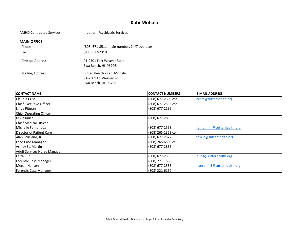## **Kahi Mohala**

| AMHD Contracted Services: | Inpatient Psychiatric Services |
|---------------------------|--------------------------------|
|---------------------------|--------------------------------|

#### **MAIN OFFICE**

| Phone                   | (808) 671-8511 main number, 24/7 operator                                    |
|-------------------------|------------------------------------------------------------------------------|
| Fax                     | (808) 677-2310                                                               |
| <b>Physical Address</b> | 91-2301 Fort Weaver Road<br>Ewa Beach, HI 96706                              |
| <b>Mailing Address</b>  | Sutter Health - Kahi Mohala<br>91-2301 Ft. Weaver Rd.<br>Ewa Beach, HI 96706 |

| <b>ICONTACT NAME</b>         | <b>CONTACT NUMBERS</b> | <b>E-MAIL ADDRESS</b>     |
|------------------------------|------------------------|---------------------------|
| Claudia Crist                | (808) 677-2503 ofc     | cristc@sutterhealth.org   |
| Chief Executive Officer      | (808) 677-2536 ofc     |                           |
| Linda Pitman                 | (808) 677-2595         |                           |
| Chief Operating Officer      |                        |                           |
| <b>Kevin Kuich</b>           | (808) 677-2836         |                           |
| Chief Medical Officer        |                        |                           |
| Michelle Fernandez           | (808) 677-2568         | fernanmm@sutterhealth.org |
| Director of Patient Care     | (808) 265-1353 cell    |                           |
| Alan Feliciano, Jr.          | (808) 677-2522         | felicia@sutterhealth.org  |
| Lead Case Manager            | (808) 265-6509 cell    |                           |
| Ashley St. Martin            | (808) 677-2836         |                           |
| Adult Services Nurse Manager |                        |                           |
| Leli'a Puni                  | (808) 677-2538         | punil@sutterhealth.org    |
| Forensic Case Manager        | (808) 271-1560         |                           |
| Megan Hansen                 | (808) 677-2583         | hansenm5@sutterhealth.org |
| Forensic Case Manager        | (808) 221-6152         |                           |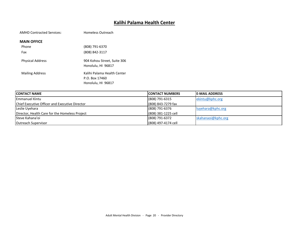## **Kalihi Palama Health Center**

| <b>AMHD Contracted Services:</b> | Homeless Outreach                                                   |
|----------------------------------|---------------------------------------------------------------------|
| <b>MAIN OFFICE</b>               |                                                                     |
| Phone                            | (808) 791-6370                                                      |
| Fax                              | (808) 842-3117                                                      |
| <b>Physical Address</b>          | 904 Kohou Street, Suite 306<br>Honolulu, HI 96817                   |
| <b>Mailing Address</b>           | Kalihi Palama Health Center<br>P.O. Box 17460<br>Honolulu, HI 96817 |

| <b>ICONTACT NAME</b>                                  | <b>ICONTACT NUMBERS</b> | <b>IE-MAIL ADDRESS</b> |
|-------------------------------------------------------|-------------------------|------------------------|
| <b>IEmmanuel Kintu</b>                                | (808) 791-6315          | ekintu@kphc.org        |
| <b>Chief Executive Officer and Executive Director</b> | $(808)$ 843-7279 fax    |                        |
| Leslie Uvehara                                        | (808) 791-6376          | luyehara@kphc.org      |
| Director, Health Care for the Homeless Project        | (808) 381-1225 cell     |                        |
| <b>I</b> Steve Kahana'oi                              | (808) 791-6372          | skahanaoi@kphc.org     |
| Outreach Supervisor                                   | (808) 497-4174 cell     |                        |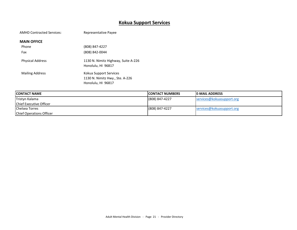## **Kokua Support Services**

| <b>AMHD Contracted Services:</b> | Representative Payee                                                            |
|----------------------------------|---------------------------------------------------------------------------------|
| <b>MAIN OFFICE</b>               |                                                                                 |
| Phone                            | (808) 847-4227                                                                  |
| Fax                              | (808) 842-0044                                                                  |
| <b>Physical Address</b>          | 1130 N. Nimitz Highway, Suite A-226<br>Honolulu, HI 96817                       |
| <b>Mailing Address</b>           | Kokua Support Services<br>1130 N. Nimitz Hwy., Ste. A-226<br>Honolulu, HI 96817 |

| <b>ICONTACT NAME</b>            | <b>ICONTACT NUMBERS</b> | <b>IE-MAIL ADDRESS</b>    |
|---------------------------------|-------------------------|---------------------------|
| Tristyn Kalama                  | $(808) 847 - 4227$      | services@kokuasupport.org |
| <b>Chief Executive Officer</b>  |                         |                           |
| <b>I</b> Chelsea Torres         | (808) 847-4227          | services@kokuasupport.org |
| <b>Chief Operations Officer</b> |                         |                           |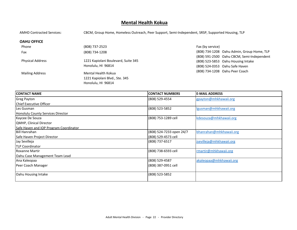#### **Mental Health Kokua**

AMHD Contracted Services: CBCM, Group Home, Homeless Outreach, Peer Support, Semi-Independent, SRSP, Supported Housing, TLP

#### **OAHU OFFICE**

| Phone                   | (808) 737-2523                                                              |  |
|-------------------------|-----------------------------------------------------------------------------|--|
| Fax                     | (808) 734-1208                                                              |  |
| <b>Physical Address</b> | 1221 Kapiolani Boulevard, Suite 345<br>Honolulu, HI 96814                   |  |
| <b>Mailing Address</b>  | Mental Health Kokua<br>1221 Kapiolani Blvd., Ste. 345<br>Honolulu, HI 96814 |  |

Fax (by service) (808) 734-1208 Oahu Admin, Group Home, TLP (808) 591-2500 Oahu CBCM, Semi-Independent (808) 523-5853 Oahu Housing Intake (808) 524-0353 Oahu Safe Haven (808) 734-1208 Oahu Peer Coach

| <b>ICONTACT NAME</b>                   | <b>ICONTACT NUMBERS</b>  | <b>E-MAIL ADDRESS</b>    |
|----------------------------------------|--------------------------|--------------------------|
| <b>Greg Payton</b>                     | (808) 529-4554           | gpayton@mhkhawaii.org    |
| Chief Executive Officer                |                          |                          |
| Les Gusman                             | (808) 523-5852           | lgusman@mhkhawaii.org    |
| Honolulu County Services Director      |                          |                          |
| Kaycee De Souza                        | (808) 753-1289 cell      | kdesouza@mhkhawaii.org   |
| <b>QMHP, Clinical Director</b>         |                          |                          |
| Safe Haven and IOP Program Coordinator |                          |                          |
| <b>Bill Hanrahan</b>                   | (808) 524-7233 open 24/7 | bhanrahan@mhkhawaii.org  |
| Safe Haven Project Director            | (808) 529-4573 cell      |                          |
| Jay Sevilleja                          | (808) 737-6517           | jsevilleja@mhkhawaii.org |
| <b>TLP Coordinator</b>                 |                          |                          |
| <b>IRoxanne Martir</b>                 | (808) 738-6593 cell      | rmartir@mhkhawaii.org    |
| Oahu Case Management Team Lead         |                          |                          |
| Ana Kaleopaa                           | (808) 529-4587           | akaleopaa@mhkhawaii.org  |
| Peer Coach Manager                     | (808) 387-0951 cell      |                          |
|                                        |                          |                          |
| Oahu Housing Intake                    | (808) 523-5852           |                          |
|                                        |                          |                          |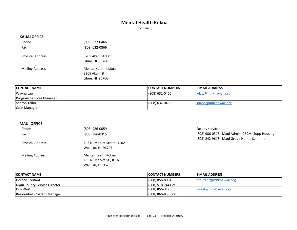#### **Mental Health Kokua**

(continued)

#### **KAUAI OFFICE**

| Phone                   | (808) 632-0466                                           |
|-------------------------|----------------------------------------------------------|
| Fax                     | (808) 632-0866                                           |
| <b>Physical Address</b> | 3205 Akahi Street<br>Lihue, HL 96766                     |
| <b>Mailing Address</b>  | Mental Health Kokua<br>3205 Akahi St.<br>Lihue. HI 96766 |

| <b>ICONTACT NAME</b>            | <b>ICONTACT NUMBERS</b> | <b>IE-MAIL ADDRESS</b> |
|---------------------------------|-------------------------|------------------------|
| Wayne Law                       | $(808)$ 632-0466        | wlaw@mhkhawaii.org     |
| <b>Program Services Manager</b> |                         |                        |
| <b>I</b> Sharon Talbo           | $(808)$ 632-0466        | stalbo@mhkhawaii.org   |
| Case Manager                    |                         |                        |

#### **MAUI OFFICE**

| Phone                   | (808) 986-0059             | Fax (by service)                              |
|-------------------------|----------------------------|-----------------------------------------------|
| Fax                     | (808) 986-0315             | (808) 986-0315 Maui Admin, CBCM, Supp Housing |
|                         |                            | (808) 242-9618 Maui Group Home, Semi-Ind      |
| <b>Physical Address</b> | 105 N. Market Street, #102 |                                               |
|                         | Wailuku, HI 96793          |                                               |
| <b>Mailing Address</b>  | Mental Health Kokua        |                                               |
|                         | 105 N. Market St., #102    |                                               |
|                         | Wailuku, HI 96793          |                                               |

| <b>ICONTACT NAME</b>         | <b>ICONTACT NUMBERS</b> | <b>IE-MAIL ADDRESS</b> |
|------------------------------|-------------------------|------------------------|
| Doreen Toutant               | $(808) 856 - 8004$      | dtoutant@mhkhawaii.org |
| Maui County Service Director | (808) 518-7441 cell     |                        |
| <b>Kim West</b>              | $(808) 856 - 3173$      | kwest@mhkhawaii.org    |
| Residential Program Manager  | (808) 866-8333 cell     |                        |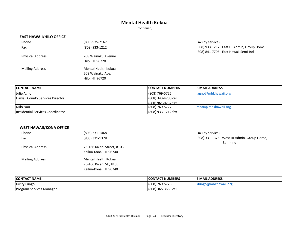#### **Mental Health Kokua**

(continued)

#### **EAST HAWAII/HILO OFFICE**

| Phone                   | (808) 935-7167                                            |
|-------------------------|-----------------------------------------------------------|
| Fax                     | (808) 933-1212                                            |
| <b>Physical Address</b> | 208 Wainaku Avenue<br>Hilo. HI 96720                      |
| <b>Mailing Address</b>  | Mental Health Kokua<br>208 Wainaku Ave.<br>Hilo. HI 96720 |

Fax (by service) (808) 933-1212 East HI Admin, Group Home (808) 841-7705 East Hawaii Semi-Ind

| <b>ICONTACT NAME</b>                    | <b>ICONTACT NUMBERS</b> | <b>IE-MAIL ADDRESS</b> |
|-----------------------------------------|-------------------------|------------------------|
| Julie Agno                              | (808) 769-5725          | jagno@mhkhawaii.org    |
| Hawaii County Services Director         | (808) 343-4700 cell     |                        |
|                                         | $(808)$ 961-9282 fax    |                        |
| <b>Milo Nau</b>                         | (808) 769-5727          | $m$ nau@mhkhawaii.org  |
| <b>Residential Services Coordinator</b> | (808) 933-1212 fax      |                        |

#### **WEST HAWAII/KONA OFFICE**

| Phone                   | (808) 331-1468                                                          |
|-------------------------|-------------------------------------------------------------------------|
| Fax                     | (808) 331-1378                                                          |
| <b>Physical Address</b> | 75-166 Kalani Street, #103<br>Kailua-Kona. HI 96740                     |
| <b>Mailing Address</b>  | Mental Health Kokua<br>75-166 Kalani St., #103<br>Kailua-Kona, HI 96740 |

Fax (by service) (808) 331-1378 West HI Admin, Group Home, Semi-Ind

| <b>ICONTACT NAME</b>            | <b>TACT NUMBERS</b><br>JN | E-MAIL ADDRESS         |
|---------------------------------|---------------------------|------------------------|
| <b>Kristy Lungo</b>             | 769-5728<br>(808)         | 'mhkhawaii.org<br>klun |
| <b>Program Services Manager</b> | 1365-3669 cell<br>(808)   |                        |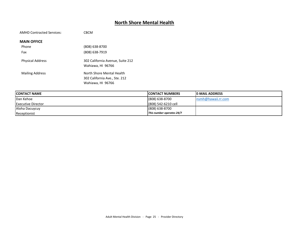## **North Shore Mental Health**

| <b>AMHD Contracted Services:</b> | <b>CBCM</b>                                                                     |
|----------------------------------|---------------------------------------------------------------------------------|
| <b>MAIN OFFICE</b>               |                                                                                 |
| Phone                            | (808) 638-8700                                                                  |
| Fax                              | (808) 638-7919                                                                  |
| <b>Physical Address</b>          | 302 California Avenue, Suite 212<br>Wahiawa. HI 96766                           |
| <b>Mailing Address</b>           | North Shore Mental Health<br>302 California Ave., Ste. 212<br>Wahiawa. HI 96766 |

| <b>ICONTACT NAME</b>      | <b>ICONTACT NUMBERS</b>   | <b>IE-MAIL ADDRESS</b> |
|---------------------------|---------------------------|------------------------|
| Dan Kehoe                 | $(808) 638 - 8700$        | nsmh@hawaii.rr.com     |
| <b>Executive Director</b> | (808) 542-6210 cell       |                        |
| Aloha Dacuycuy            | (808) 638-8700            |                        |
| Receptionist              | This number operates 24/7 |                        |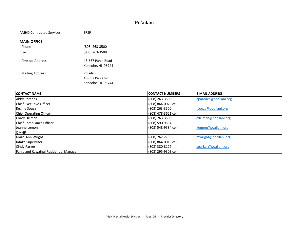### **Po'ailani**

| <b>AMHD Contracted Services:</b> | <b>SRSP</b>                                        |
|----------------------------------|----------------------------------------------------|
| <b>MAIN OFFICE</b>               |                                                    |
| Phone                            | (808) 263-3500                                     |
| Fax                              | (808) 263-3508                                     |
| <b>Physical Address</b>          | 45-567 Pahia Road<br>Kaneohe, HJ 96744             |
| <b>Mailing Address</b>           | Po'ailani<br>45-597 Pahia Rd.<br>Kaneohe. HI 96744 |

| <b>ICONTACT NAME</b>                   | <b>ICONTACT NUMBERS</b> | <b>E-MAIL ADDRESS</b> |
|----------------------------------------|-------------------------|-----------------------|
| Abby Paredes                           | (808) 263-3500          | aparedes@poailani.org |
| <b>Chief Executive Officer</b>         | (808) 864-0020 cell     |                       |
| Regine Souza                           | (808) 263-3500          | rsouza@poailani.org   |
| <b>Chief Operating Officer</b>         | (808) 478-3651 cell     |                       |
| Corey Dillman                          | (808) 263-3500          | cdillman@poailani.org |
| Chief Compliance Officer               | (808) 590-9554          |                       |
| Lleanne Lemon                          | (808) 548-9584 cell     | jlemon@poailani.org   |
| <b>QMHP</b>                            |                         |                       |
| Maile-Ann Wright                       | (808) 262-2799          | mwright@poailani.org  |
| Intake Supervisor                      | (808) 864-0016 cell     |                       |
| <b>Cindy Parker</b>                    | (808) 380-8127          | cparker@poailani.org  |
| Pahia and Kawainui Residential Manager | (808) 295-9303 cell     |                       |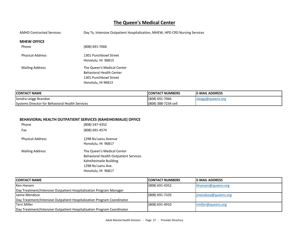## **The Queen's Medical Center**

| <b>AMHD Contracted Services:</b> | Day Tx, Intensive Outpatient Hospitalization, MHEW, HPD CRD Nursing Services |
|----------------------------------|------------------------------------------------------------------------------|
| <b>MHEW OFFICE</b>               |                                                                              |
| Phone                            | (808) 691-7066                                                               |
| <b>Physical Address</b>          | 1301 Punchbowl Street                                                        |
|                                  | Honolulu, HI 96813                                                           |
| <b>Mailing Address</b>           | The Queen's Medical Center                                                   |
|                                  | <b>Behavioral Health Center</b>                                              |
|                                  | 1301 Punchbowl Street                                                        |
|                                  | Honolulu, HI 96813                                                           |
|                                  |                                                                              |

| <b>ICONTACT NAME</b>                            | <b>ICONTACT NUMBERS</b> | <b>IE-MAIL ADDRESS</b> |
|-------------------------------------------------|-------------------------|------------------------|
| Sondra Leiggi Brandon                           | (808) 691-7066          | sleiggi@queens.org     |
| Systems Director for Behavioral Health Services | (808) 388-7234 cell     |                        |

#### **BEHAVIORAL HEALTH OUTPATIENT SERVICES (KAHEIHEIMALIE) OFFICE**

| Phone                   | (808) 547-4352                                                                                                                                  |
|-------------------------|-------------------------------------------------------------------------------------------------------------------------------------------------|
| Fax                     | (808) 691-4574                                                                                                                                  |
| <b>Physical Address</b> | 1298 Nu'uanu Avenue<br>Honolulu, HI 96817                                                                                                       |
| <b>Mailing Address</b>  | The Queen's Medical Center<br><b>Behavioral Health Outpatient Services</b><br>Kaheiheimalie Building<br>1298 Nu'uanu Ave.<br>Honolulu, HI 96817 |

| <b>ICONTACT NAME</b>                                                   | <b>ICONTACT NUMBERS</b> | <b>IE-MAIL ADDRESS</b> |
|------------------------------------------------------------------------|-------------------------|------------------------|
| <b>Ken Hansen</b>                                                      | $(808) 691 - 4352$      | khansen@queens.org     |
| Day Treatment/Intensive Outpatient Hospitalization Program Manager     |                         |                        |
| Jaime Mendoza                                                          | $(808) 691 - 7103$      | imendoza@queens.org    |
| Day Treatment/Intensive Outpatient Hospitalization Program Coordinator |                         |                        |
| <b>Terri Miller</b>                                                    | $(808) 691 - 4910$      | tmiller@queens.org     |
| Day Treatment/Intensive Outpatient Hospitalization Program Coordinator |                         |                        |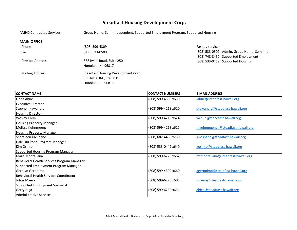## **Steadfast Housing Development Corp.**

AMHD Contracted Services: Group Home, Semi-Independent, Supported Employment Program, Supported Housing

#### **MAIN OFFICE**

| Phone                   | (808) 599-4309                                   | Fax (by service) |                                            |
|-------------------------|--------------------------------------------------|------------------|--------------------------------------------|
| Fax                     | (808) 533-0509                                   |                  | (808) 533-0509 Admin, Group Home, Semi-Ind |
|                         |                                                  |                  | (808) 748-8462 Supported Employment        |
| <b>Physical Address</b> | 888 Iwilei Road, Suite 250<br>Honolulu, HI 96817 |                  | (808) 533-0459 Supported Housing           |
|                         |                                                  |                  |                                            |
| <b>Mailing Address</b>  | Steadfast Housing Development Corp.              |                  |                                            |
|                         | 888 Iwilei Rd., Ste. 250                         |                  |                                            |
|                         | Honolulu, HI 96817                               |                  |                                            |

| <b>ICONTACT NAME</b>                       | <b>CONTACT NUMBERS</b> | <b>E-MAIL ADDRESS</b>             |
|--------------------------------------------|------------------------|-----------------------------------|
| Linda Ahue                                 | (808) 599-4309 x630    | lahue@steadfast-hawaii.org        |
| <b>Executive Director</b>                  |                        |                                   |
| Stephen Kawahara                           | (808) 599-4213 x620    | skawahara@steadfast-hawaii.org    |
| <b>Housing Director</b>                    |                        |                                   |
| <b>Wesley Chun</b>                         | (808) 599-4213 x624    | wchun@steadfast-hawaii.org        |
| <b>Housing Property Manager</b>            |                        |                                   |
| Melissa Kuhnmuench                         | (808) 599-4213 x621    | mkuhnmuench@steadfast-hawaii.org  |
| <b>Housing Property Manager</b>            |                        |                                   |
| <b>I</b> Sharaleen McShane                 | (808) 682-4466 x250    | smcshane@steadfast-hawaii.org     |
| Hale Ulu Pono Program Manager              |                        |                                   |
| <b>I</b> Kim Oshiro                        | (808) 533-0449 x640    | koshiro@steadfast-hawaii.org      |
| <b>Supported Housing Program Manager</b>   |                        |                                   |
| Maile Montallana                           | (808) 599-6273 x662    | mtmontallana@steadfast-hawaii.org |
| Behavioral Health Services Program Manager |                        |                                   |
| Supported Employment Program Manager       |                        |                                   |
| Gerrilyn Geronimo                          | (808) 599-4309 x660    | ggeronimo@steadfast-hawaii.org    |
| Behavioral Health Services Coordinator     |                        |                                   |
| Julius Maera                               | (808) 599-6273 x601    | jmaera@steadfast-hawaii.org       |
| <b>Supported Employment Specialist</b>     |                        |                                   |
| Gerry Higa                                 | (808) 599-6230 x631    | ghiga@steadfast-hawaii.org        |
| Administrative Services                    |                        |                                   |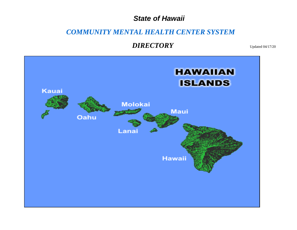## *State of Hawaii*

# *COMMUNITY MENTAL HEALTH CENTER SYSTEM*

## **DIRECTORY** Updated 04/17/20

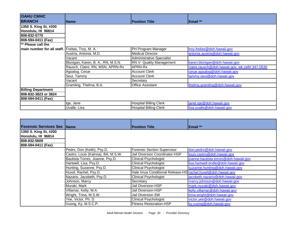| <b>OAHU CMHC</b>                                |                                    |                                  |                                                 |
|-------------------------------------------------|------------------------------------|----------------------------------|-------------------------------------------------|
| <b>BRANCH</b>                                   | <b>Name</b>                        | <b>Position Title</b>            | <b>Email</b> **                                 |
| 1350 S. King St, #200                           |                                    |                                  |                                                 |
| Honolulu, HI 96814                              |                                    |                                  |                                                 |
| 808-832-5770                                    |                                    |                                  |                                                 |
| 808-594-0411 (Fax)                              |                                    |                                  |                                                 |
| ** Please call the                              |                                    |                                  |                                                 |
| main number for all staff. Freitas, Troy, M. A. |                                    | PH Program Manager               | troy.freitas@doh.hawaii.gov                     |
|                                                 | Austria, Antonia, M.D.             | <b>Medical Director</b>          | antonia.austria@doh.hawaii.gov                  |
|                                                 | Vacant                             | <b>Administrative Specialist</b> |                                                 |
|                                                 | Blonigan, Karen, B. A., RN, M.S.N. | RN V- Quality Management         | karen.blonigan@doh.hawaii.gov                   |
|                                                 | Rausch, Claire, RN, MSN, APRN-Rx   | APRN-Rx                          | claire.rausch@doh.hawaii.gov; wk cell# 347-0530 |
|                                                 | Agsalog, Cesar                     | <b>Account Clerk</b>             | cesar.agsalog@doh.hawaii.gov                    |
|                                                 | Seui, Tammy                        | <b>Account Clerk</b>             | tammy.seui@doh.hawaii.gov                       |
|                                                 | Vacant                             | Secretary                        |                                                 |
|                                                 | Gramling, Thelma, B.A.             | <b>Office Assistant</b>          | thelma.gramling@doh.hawaii.gov                  |
| <b>Billing Department</b>                       |                                    |                                  |                                                 |
| 808-832-3823 or 3824                            |                                    |                                  |                                                 |
| 808-594-0411 (Fax)                              |                                    |                                  |                                                 |
|                                                 | Ige, Jane                          | Hospital Billing Clerk           | janet.ige@doh.hawaii.gov                        |
|                                                 | Uvalle, Lisa                       | <b>Hospital Billing Clerk</b>    | lisa.uvalle@doh.hawaii.gov                      |

| <b>Forensic Services Sec</b> | Name                               | <b>Position Title</b>                                        | Email **                              |
|------------------------------|------------------------------------|--------------------------------------------------------------|---------------------------------------|
|                              |                                    |                                                              |                                       |
| 1350 S. King St, #200        |                                    |                                                              |                                       |
| Honolulu, HI 96814           |                                    |                                                              |                                       |
| 808-832-5609                 |                                    |                                                              |                                       |
| 808-594-0411 (Fax)           |                                    |                                                              |                                       |
|                              | Pedro, Don (Keith), Psy.D.         | <b>Forensic Section Supervisor</b>                           | don.pedro@doh.hawaii.gov              |
|                              | Castro, Louis (Kainoa), BA, M.S.W. | Jail Diversion Coordinator-HSP                               | louis.castro@doh.hawaii.gov           |
|                              | Bautista-Torres, Joanne, Psy.D.    | <b>Clinical Psychologist</b>                                 | joanne.bautista-torres@doh.hawaii.gov |
|                              | Hartwell, Lisa, Psy.D.             | <b>Clinical Psychologist</b>                                 | lisa.hartwell-tindle@doh.hawaii.gov   |
|                              | Hunting, Suzanne, Psy.D.           | <b>Clinical Psychologist</b>                                 | suzanne.hunting@doh.hawaii.gov        |
|                              | Huxel, Rachel, Psy.D.              | Hale Imua Conditional Release-HS rachel.huxel@doh.hawaii.gov |                                       |
|                              | Nazario, Jacobeth, Psy.D.          | <b>Clinical Psychologist</b>                                 | jacobeth.nazario@doh.hawaii.gov       |
|                              | Johnson, Marcy                     | Secretary                                                    | marcy.johnson@doh.hawaii.gov          |
|                              | Muraki, Mark                       | <b>Jail Diversion-HSP</b>                                    | mark.muraki@doh.hawaii.gov            |
|                              | Villamar, Kelly, M.A.              | <b>Jail Diversion-HSP</b>                                    | kelly.villamar@doh.hawaii.gov         |
|                              | Wright, Trina, M.S.W.              | Jail Diversion SW                                            | trina.wright@doh.hawaii.gov           |
|                              | Yee, Victor, Ph. D.                | <b>Clinical Psychologist</b>                                 | victor.yee@doh.hawaii.gov             |
|                              | Vuong, Ky, M.S.C.P.                | <b>Fitness Restoration-HSP</b>                               | ky.vuong@doh.hawaii.gov               |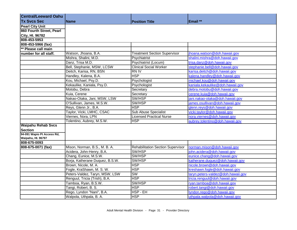| <b>Central/Leeward Oahu</b> |                                 |                                          |                                    |
|-----------------------------|---------------------------------|------------------------------------------|------------------------------------|
| <b>Tx Svcs Sec</b>          | <b>Name</b>                     | <b>Position Title</b>                    | Email **                           |
| <b>Pearl City Unit</b>      |                                 |                                          |                                    |
| 860 Fourth Street, Pearl    |                                 |                                          |                                    |
| City, HI. 96782             |                                 |                                          |                                    |
| 808-453-5953                |                                 |                                          |                                    |
| 808-453-5966 (fax)          |                                 |                                          |                                    |
| <b>** Please call main</b>  |                                 |                                          |                                    |
| number for all staff.       | Watson, Jhoana, B.A.            | <b>Treatment Section Supervisor</b>      | jhoana.watson@doh.hawaii.gov       |
|                             | Mishra, Shalini, M.D.           | Psychiatrist                             | shalini.mishra@doh.hawaii.gov      |
|                             | Danz, Trisa M.D.                | Psychiatrist (Locum)                     | trisa.danz@doh.hawaii.gov          |
|                             | Bell, Stephanie, MSW, LCSW      | <b>Clinical Social Worker</b>            | stephanie.bell@doh.hawaii.gov      |
|                             | Deitch, Karisa, RN, BSN         | <b>RNIV</b>                              | karisa.deitch@doh.hawaii.gov       |
|                             | Handley, Kalena, B.A.           | <b>HSP</b>                               | kalena.handley@doh.hawaii.gov      |
|                             | Kou, Michael, Psy.D.            | Psychologist                             | michael.kou@doh.hawaii.gov         |
|                             | Kekaulike, Kaniala, Psy.D.      | Psychologist                             | kaniala.kekaulike@doh.hawaii.gov   |
|                             | Motobu, Debra                   | Secretary                                | debra.motobu@doh.hawaii.gov        |
|                             | Kuia, Cerene                    | Secretary                                | cerene.kuia@doh.hawaii.gov         |
|                             | Nakao-Otaka, Jani, MSW, LSW     | SW/HSP                                   | jani.nakao-otaka@doh.hawaii.gov    |
|                             | O'Sullivan, James, M.S.W.       | SW/HSP                                   | james.osullivan@doh.hawaii.gov     |
|                             | Reys, Glenn Jr., B.A.           | <b>HSP</b>                               | glenn.reys@doh.hawaii.gov          |
|                             | Taylor, Vicki, LMHC, CSAC       | <b>Sub Abuse Specialist</b>              | vicki.taylor@doh.hawaii.gov        |
|                             | Viernes, Nora, LPN              | <b>Licensed Practical Nurse</b>          | nora.viernes@doh.hawaii.gov        |
|                             | Tolentino, Aubrey, M.S.W.       | <b>HSP</b>                               | aubrey.tolentino@doh.hawaii.gov    |
| <b>Waipahu Rehab Svcs</b>   |                                 |                                          |                                    |
| <b>Section</b>              |                                 |                                          |                                    |
| 94-091 Wapio Pt Access Rd,  |                                 |                                          |                                    |
| Waipahu, Hl. 96797          |                                 |                                          |                                    |
| 808-675-0093                |                                 |                                          |                                    |
| 808-675-0071 (fax)          | Mison, Norman, B.S., M. B. A.   | <b>Rehabilitation Section Supervisor</b> | norman.mison@doh.hawaii.gov        |
|                             | Acidera, John-Henry, B.A.       | SW/HSP                                   | john.acidera@doh.hawaii.gov        |
|                             | Chang, Eunice, M.S.W.           | SW/HSP                                   | eunice.chang@doh.hawaii.gov        |
|                             | Borja, Katherane Duquez, B.S.W. | SW/HSP                                   | katherane.duquez@doh.hawaii.gov    |
|                             | Brown, Nicole, M. A.            | <b>HSP</b>                               | nicole.brown@doh.hawaii.gov        |
|                             | Fogle, KraShawn, M. S. W.       | <b>HSP</b>                               | kreshawn.fogle@doh.hawaii.gov      |
|                             | Peters-Valdez, Taryn, MSW, LSW  | SW                                       | taryn.peters-valdez@doh.hawaii.gov |
|                             | Renguul, Tricia (Trish), B.A.   | <b>HSP</b>                               | tricia.renguul@doh.hawaii.gov      |
|                             | Tamboa, Ryan, B.S.W.            | SW/HSP                                   | ryan.tamboa@doh.hawaii.gov         |
|                             | Tangi, Robert, B. S.            | <b>HSP</b>                               | robert.tangi@doh.hawaii.gov        |
|                             | Rego, Lyndon "Nani", B.A.       | HSP - EH                                 | lyndon.rego@doh.hawaii.gov         |
|                             | Walpola, Uthpala, B. A.         | <b>HSP</b>                               | uthpala.walpola@doh.hawaii.gov     |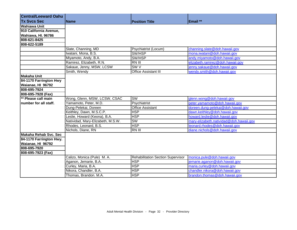| <b>Central/Leeward Oahu</b> |                                   |                                          |                                         |
|-----------------------------|-----------------------------------|------------------------------------------|-----------------------------------------|
| <b>Tx Svcs Sec</b>          | Name                              | <b>Position Title</b>                    | Email **                                |
| <b>Wahiawa Unit</b>         |                                   |                                          |                                         |
| 910 California Avenue,      |                                   |                                          |                                         |
| Wahiawa, HI. 96786          |                                   |                                          |                                         |
| 808-621-8425                |                                   |                                          |                                         |
| 808-622-5189                |                                   |                                          |                                         |
|                             | Slate, Channing, MD               | Psychiatrist (Locum)                     | channing.slate@doh.hawaii.gov           |
|                             | Iwatani, Mona, B.S.               | SW/HSP                                   | mona.iwatani@doh.hawaii.gov             |
|                             | Miyamoto, Andy, B.A.              | SW/HSP                                   | andy.miyamoto@doh.hawaii.gov            |
|                             | Ramirez, Elizabeth, R.N.          | $RN$ III                                 | elizabeth.ramirez@doh.hawaii.gov        |
|                             | Sakaue, Jenny, MSW, LCSW          | SW <sub>V</sub>                          | jenny.sakaue@doh.hawaii.gov             |
|                             | Smith, Wendy                      | <b>Office Assistant III</b>              | wendy.smith@doh.hawaii.gov              |
| <b>Makaha Unit</b>          |                                   |                                          |                                         |
| 84-1170 Farrington Hwy      |                                   |                                          |                                         |
| Waianae, HI 96792           |                                   |                                          |                                         |
| 808-695-7924                |                                   |                                          |                                         |
| 808-695-7928 (Fax)          |                                   |                                          |                                         |
| ** Please call main         | Wong, Glenn, MSW, LCSW, CSAC      | $\overline{\text{SW}}$                   | glenn.wong@doh.hawaii.gov               |
| number for all staff.       | Yamamoto, Peter, M.D.             | Psychiatrist                             | peter.yamamoto@doh.hawaii.gov           |
|                             | Dung-Pelekai, Doreen              | <b>Office Assistant</b>                  | doreen.dung-pelekai@doh.hawaii.gov      |
|                             | Keithley, Dawn, M.S.C.P.          | <b>HSP</b>                               | dawn.keithley@doh.hawaii.gov            |
|                             | Leslie, Howard (Keona), B.A.      | <b>HSP</b>                               | howard.leslie@doh.hawaii.gov            |
|                             | Natividad, Mary-Elizabeth, M.S.W. | SW                                       | mary-elizabeth.natividad@doh.hawaii.gov |
|                             | Rhodes, Leonard, B.S.             | <b>HSP</b>                               | leonard.rhodes@doh.hawaii.gov           |
|                             | Nichols, Diane, RN                | RN III                                   | diane.nichols@doh.hawaii.gov            |
| Makaha Rehab Svc. Sec       |                                   |                                          |                                         |
| 84-1170 Farrington Hwy.     |                                   |                                          |                                         |
| Waianae, HI 96792           |                                   |                                          |                                         |
| 808-695-7920                |                                   |                                          |                                         |
| 808-695-7923 (Fax)          |                                   |                                          |                                         |
|                             | Calizo, Monica (Pule) M. A.       | <b>Rehabilitation Section Supervisor</b> | monica.pule@doh.hawaii.gov              |
|                             | Aganon, Jemarie, B.A.             | <b>HSP</b>                               | jemarie.aganon@doh.hawaii.gov           |
|                             | Curley, Maria, B.A.               | <b>HSP</b>                               | maria.curley@doh.hawaii.gov             |
|                             | Nikora, Chandler, B.A.            | <b>HSP</b>                               | chandler.nikora@doh.hawaii.gov          |
|                             | Thomas, Brandon. M.A.             | <b>HSP</b>                               | brandon.thomas@doh.hawaii.gov           |

÷.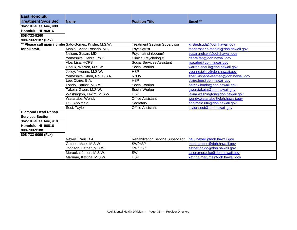| <b>East Honolulu</b>      |                                                       |                                          |                                     |
|---------------------------|-------------------------------------------------------|------------------------------------------|-------------------------------------|
| <b>Treatment Sycs Sec</b> | <b>Name</b>                                           | <b>Position Title</b>                    | Email **                            |
| 3627 Kilauea Ave, 408     |                                                       |                                          |                                     |
| Honolulu, HI 96816        |                                                       |                                          |                                     |
| 808-733-9260              |                                                       |                                          |                                     |
| 808-733-9187 (Fax)        |                                                       |                                          |                                     |
|                           | ** Please call main numbe Sato-Gomes, Kristie, M.S.W. | <b>Treatment Section Supervisor</b>      | kristie.tsuda@doh.hawaii.gov        |
| for all staff,            | Mabini, Maria Rosario, M.D.                           | Psychiatrist                             | mariarosario.mabini@doh.hawaii.gov  |
|                           | Nelsen, Susan, MD                                     | Psychiatrist (Locum)                     | susan.nelsen@doh.hawaii.gov         |
|                           | Yamashita, Debra, Ph.D.                               | <b>Clinical Psychologist</b>             | debra.fan@doh.hawaii.gov            |
|                           | Abe, Lisa, HCPS                                       | <b>Social Services Assistant</b>         | lisa.abe@doh.hawaii.gov             |
|                           | Cheuk, Warren, M.S.W.                                 | Social Worker                            | warren.cheuk@doh.hawaii.gov         |
|                           | Jolley, Yvonne, M.S.W.                                | <b>HSP</b>                               | yvonne.jolley@doh.hawaii.gov        |
|                           | Yamashita, Sheri, RN, B.S.N.                          | <b>RNIV</b>                              | sheri.kishaba-leaman@doh.hawaii.gov |
|                           | Lee, Claire, B.A.                                     | <b>HSP</b>                               | claire.lee@doh.hawaii.gov           |
|                           | Londo, Patrick, M.S.W.                                | Social Worker                            | patrick.londo@doh.hawaii.gov        |
|                           | Taketa, Gwen, M.S.W.                                  | Social Worker                            | gwen.taketa@doh.hawaii.gov          |
|                           | Washington, Lakim, M.S.W.                             | <b>HSP</b>                               | lakim.washington@doh.hawaii.gov     |
|                           | Watanabe, Wendy                                       | <b>Office Assistant</b>                  | wendy.watanabe@doh.hawaii.gov       |
|                           | Utu, Anoimalo                                         | Secretary                                | anoimalo.utu@doh.hawaii.gov         |
|                           | Seui, Taylor                                          | <b>Office Assistant</b>                  | taylor.seui@doh.hawaii.gov          |
| Diamond Head Rehab        |                                                       |                                          |                                     |
| <b>Services Section</b>   |                                                       |                                          |                                     |
| 3627 Kilauea Ave, 410     |                                                       |                                          |                                     |
| Honolulu, HI 96816        |                                                       |                                          |                                     |
| 808-733-9188              |                                                       |                                          |                                     |
| 808-733-9099 (Fax)        |                                                       |                                          |                                     |
|                           | Newell, Paul, B.A.                                    | <b>Rehabilitation Service Supervisor</b> | paul.newell@doh.hawaii.gov          |
|                           | Golden, Mark, M.S.W.                                  | SW/HSP                                   | mark.golden@doh.hawaii.gov          |
|                           | Johnson, Esther, M.S.W.                               | SW/HSP                                   | esther.daido@doh.hawaii.gov         |
|                           | Muraoka, Jason, M.S.W.                                | <b>SW</b>                                | jason.muraoka@doh.hawaii.gov        |
|                           | Marume, Katrina, M.S.W.                               | <b>HSP</b>                               | katrina.marume@doh.hawaii.gov       |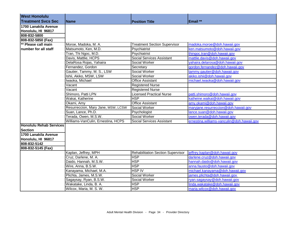| <b>West Honolulu</b>           |                                    |                                          |                                            |
|--------------------------------|------------------------------------|------------------------------------------|--------------------------------------------|
| <b>Treatment Sycs Sec</b>      | <b>Name</b>                        | <b>Position Title</b>                    | Email **                                   |
| 1700 Lanakila Avenue           |                                    |                                          |                                            |
| Honolulu, HI 96817             |                                    |                                          |                                            |
| 808-832-5800                   |                                    |                                          |                                            |
| 808-832-5850 (Fax)             |                                    |                                          |                                            |
| ** Please call main            | Moroe, Madoka, M. A.               | <b>Treatment Section Supervisor</b>      | madoka.moroe@doh.hawaii.gov                |
| number for all staff           | Matsumoto, Ken, M.D.               | Psychiatrist                             | ken.matsumoto@doh.hawaii.gov               |
|                                | Tran, Thi Ngoc, M.D.               | Psychiatrist                             | thingoc.tran@doh.hawaii.gov                |
|                                | Davis, Mattlie, HCPS               | Social Services Assistant                | mattlie.davis@doh.hawaii.gov               |
|                                | DelaRosa Rojas, Yahaira            | Social Worker                            | yahaira.delarosa@doh.hawaii.gov            |
|                                | Fernandez, Gordon                  | Secretary                                | gordon.fernandez@doh.hawaii.gov            |
|                                | Gautier, Tammy, M. S., LSW         | Social Worker                            | tammy.gautier@doh.hawaii.gov               |
|                                | Ishii, Akiko, MSW, LSW             | Social Worker                            | akiko.ishii@doh.hawaii.gov                 |
|                                | Iwaoka, Michael                    | <b>Office Assistant</b>                  | michael.iwaoka@doh.hawaii.gov              |
|                                | Vacant                             | <b>Registered Nurse</b>                  |                                            |
|                                | Vacant                             | <b>Registered Nurse</b>                  |                                            |
|                                | Shimoro, Patti LPN                 | <b>Licensed Practical Nurse</b>          | patti.shimoro@doh.hawaii.gov               |
|                                | Wakai, Katherine                   | <b>HSP</b>                               | katheine.waikai@doh.hawaii.gov             |
|                                | Okami, Amy                         | <b>Office Assistant</b>                  | amy.okami@doh.hawaii.gov                   |
|                                | Resurreccion, Mary Jane, MSW, LCSW | Social Worker                            | maryjane.resurreccion@doh.hawaii.gov       |
|                                | Suan, Lance, Ph.D.                 | Psychologist                             | lance.suan@doh.hawaii.gov                  |
|                                | Terada, Owen, M.S.W.               | Social Worker                            | owen.terada@doh.hawaii.gov                 |
|                                | Williams-VanCulin, Ernestina, HCPS | Social Services Assistant                | ernestina.williams-vanculin@doh.hawaii.gov |
| <b>Honolulu Rehab Services</b> |                                    |                                          |                                            |
| <b>Section</b>                 |                                    |                                          |                                            |
| 1700 Lanakila Avenue           |                                    |                                          |                                            |
| Honolulu, HI 96817             |                                    |                                          |                                            |
| 808-832-5142                   |                                    |                                          |                                            |
| 808-832-5145 (Fax)             |                                    |                                          |                                            |
|                                | Kaplan, Jeffrey, MPH               | <b>Rehabilitation Section Supervisor</b> | jeffrey.kaplan@doh.hawaii.gov              |
|                                | Cruz, Darlene, M. A.               | <b>HSP</b>                               | darlene.cruz@doh.hawaii.gov                |
|                                | Daido, Hannah, M.S.W.              | <b>HSP</b>                               | hannah.daido@doh.hawaii.gov                |
|                                | Wire, Anna, B.S.W.                 | <b>HSP</b>                               | anna.fausto@doh.hawaii.gov                 |
|                                | Kanayama, Michael, M.A.            | <b>HSP IV</b>                            | michael.kanayama@doh.hawaii.gov            |
|                                | Plichta, James, M.S.W.             | Social Worker                            | james.plichta@doh.hawaii.gov               |
|                                | Sagaysay, Ryan, B.S.W.             | Social Worker                            | ryan.sagaysay@doh.hawaii.gov               |
|                                | Wakatake, Linda, B. A.             | <b>HSP</b>                               | linda.wakatake@doh.hawaii.gov              |
|                                | Wilcox, Maria, M. S. W.            | <b>HSP</b>                               | maria.wilcox@doh.hawaii.gov                |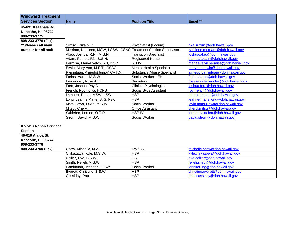| <b>Windward Treatment</b>                 |                                                                 |                                   |                                    |
|-------------------------------------------|-----------------------------------------------------------------|-----------------------------------|------------------------------------|
| <b>Services Section</b>                   | <b>Name</b>                                                     | <b>Position Title</b>             | Email **                           |
|                                           |                                                                 |                                   |                                    |
| 45-691 Keaahala Rd                        |                                                                 |                                   |                                    |
| Kaneohe, HI 96744                         |                                                                 |                                   |                                    |
| 808-233-3775                              |                                                                 |                                   |                                    |
| 808-233-3779 (Fax)<br>** Please call main |                                                                 |                                   |                                    |
|                                           | Suzuki, Rika M.D.                                               | Psychiatrist (Locum)              | rika.suzuki@doh.hawaii.gov         |
| number for all staff                      | Merriam, Kathleen, MSW, LCSW, CSAC Treatment Section Supervisor |                                   | kathleen.merriam@doh.hawaii.gov    |
|                                           | Akeo, Joshua, R.N., M.S.N.                                      | <b>Transition Specialist</b>      | joshua.akeo@doh.hawaii.gov         |
|                                           | Adam, Pamela RN, B.S.N.                                         | <b>Registered Nurse</b>           | pamela.adam@doh.hawaii.gov         |
|                                           | Bermisa, MariaEvelyn, RN, B.S.N.                                | <b>RNIV</b>                       | mariaevelyn.bermisa@doh.hawaii.gov |
|                                           | Erwin, Mary Ann, M.F.T., CSAC                                   | <b>Mental Health Specialist</b>   | maryann.erwin@doh.hawaii.gov       |
|                                           | Pamintuan, Almedo(Junior) CATC-II                               | <b>Substance Abuse Specialist</b> | almedo.pamintuan@doh.hawaii.gov    |
|                                           | Farias, Aaron, M.S.W.                                           | Social Worker - EH                | farias.aaron@doh.hawaii.gov        |
|                                           | Fernandez, Rose Ann                                             | Secretary                         | rose-ann.fernandez@doh.hawaii.gov  |
|                                           | Ford, Joshua, Psy.D.                                            | <b>Clinical Psychologist</b>      | joshua.ford@doh.hawaii.gov         |
|                                           | French, Roy (Kirk), HCPS                                        | <b>Social Svcs Assistant</b>      | roy.french@doh.hawaii.gov          |
|                                           | Lambert, Debra, MSW, LSW                                        | <b>HSP</b>                        | debra.lambert@doh.hawaii.gov       |
|                                           | Long, Jeanne Marie, B. S. Psy.                                  | <b>HSP</b>                        | jeanne-marie.long@doh.hawaii.gov   |
|                                           | Matsukawa, Levin, M.S.W.                                        | Social Worker                     | levin.matsukawa@doh.hawaii.gov     |
|                                           | Mitsui, Cheryl                                                  | <b>Office Assistant</b>           | cheryl.mitsui@doh.hawaii.gov       |
|                                           | Saldebar, Lorene, O.T.R.                                        | <b>HSP IV</b>                     | lorene.saldebar@doh.hawaii.gov     |
|                                           | Strom, David, M.S.W.                                            | Social Worker                     | david.strom@doh.hawaii.gov         |
|                                           |                                                                 |                                   |                                    |
| <b>Ko'olau Rehab Services</b>             |                                                                 |                                   |                                    |
| <b>Section</b>                            |                                                                 |                                   |                                    |
| 46-016 Alaloa St.                         |                                                                 |                                   |                                    |
| Kaneohe, HI 96744                         |                                                                 |                                   |                                    |
| 808-233-3778                              |                                                                 |                                   |                                    |
| 808-233-3790 (Fax)                        | Chow, Michelle, M.A.                                            | SW/HSP                            | michelle.chow@doh.hawaii.gov       |
|                                           | Chikazawa, Kyle, M.S.W.                                         | <b>HSP</b>                        | kyle.chikazawa@doh.hawaii.gov      |
|                                           | Collier, Eve, B.S.W.                                            | <b>HSP</b>                        | eve.collier@doh.hawaii.gov         |
|                                           | Smith, Rejieli, M.S.W.                                          | <b>HSP</b>                        | rejieli.smith@doh.hawaii.gov       |
|                                           | Pamintuan, Jennifer, LCSW                                       | Social Worker                     | jennifer.ing@doh.hawaii.gov        |
|                                           | Everett, Christine, B.S.W.                                      | <b>HSP</b>                        | christine.everett@doh.hawaii.gov   |
|                                           | Cassiday, Paul                                                  | <b>HSP</b>                        | paul.cassiday@doh.hawaii.gov       |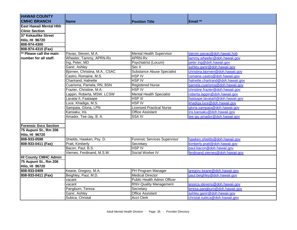| <b>HAWAII COUNTY</b>           |                                |                                     |                                   |
|--------------------------------|--------------------------------|-------------------------------------|-----------------------------------|
| <b>CMHC BRANCH</b>             | <b>Name</b>                    | <b>Position Title</b>               | Email **                          |
| <b>East Hawaii Mental Hith</b> |                                |                                     |                                   |
| <b>Clinic Section</b>          |                                |                                     |                                   |
| <b>37 Kekaulike Street</b>     |                                |                                     |                                   |
| <b>Hilo, HI 96720</b>          |                                |                                     |                                   |
| 808-974-4300                   |                                |                                     |                                   |
| 808-974-4310 (Fax)             |                                |                                     |                                   |
| ** Please call the main        | Pavao, Steven, M.A.            | <b>Mental Health Supervisor</b>     | steven.pavao@doh.hawaii.hob       |
| number for all staff.          | Wheeler, Tammy, APRN-Rx        | APRN-Rx                             | tammy.wheeler@doh.hawaii.gov      |
|                                | Ing, Peter, MD                 | Psychiatrist (Locum)                | peter.ing@doh.hawaii.gov          |
|                                | Ganir, Ashley                  | Sec II                              | ashley.ganir@doh.hawaii.gov       |
|                                | Bjornen, Christina, M.A., CSAC | <b>Substance Abuse Specialist</b>   | christina.bjornen@doh.hawaii.gov  |
|                                | Castro, Romaine, M.S.          | HSP IV                              | romaine.castro@doh.hawaii.gov     |
|                                | Chartrand, Halnette            | HSP IV                              | halnette.chartrand@doh.hawaii.gov |
|                                | Cuarisma, Pamela, RN, BSN      | <b>Registered Nurse</b>             | pamela.cuarisma@doh.hawaii.gov    |
|                                | Frazier, Christine, M.A.       | <b>HSP IV</b>                       | christine.frazier@doh.hawaii.gov  |
|                                | Lappin, Roberta, MSW, LCSW     | <b>Mental Health Specialist</b>     | roberta.lappin@doh.hawaii.gov     |
|                                | Lavatai II, Faataape           | <b>HSP III</b>                      | faataape.lavataill@doh.hawaii.gov |
|                                | Luce, Khadiga, M.S.            | <b>HSP IV</b>                       | khadiga.luce@doh.hawaii.gov       |
|                                | Sampaia, Gloria, LPN           | <b>Licensed Practical Nurse</b>     | gloria.sampaia@doh.hawaii.gov     |
|                                | Kansaku, Iris                  | <b>Office Assistant</b>             | iris.kansaku@doh.hawaii.gov       |
|                                | Amador, Tee-Jay, B. A.         | <b>SSA IV</b>                       | tee-jay.amador@doh.hawaii.gov     |
|                                |                                |                                     |                                   |
| <b>Forensic Svcs Section</b>   |                                |                                     |                                   |
| 75 Aupuni St., Rm 206          |                                |                                     |                                   |
| <b>Hilo, HI 96720</b>          |                                |                                     |                                   |
| 808-933-0598                   | Shields, Hawken, Psy. D.       | <b>Forensic Services Supervisor</b> | hawken.shields@doh.hawaii.gov     |
| 808-933-0411 (Fax)             | Pratt, Kimberly                | Secretary                           | kimberly.pratt@doh.hawaii.gov     |
|                                | Bacon, Paul, B.S.              | <b>HSP IV</b>                       | paul.bacon@doh.hawaii.gov         |
|                                | Viernes, Ferdinand, M.S.W.     | Social Worker IV                    | ferdinand.viernes@doh.hawaii.gov  |
| <b>HI County CMHC Admin</b>    |                                |                                     |                                   |
| 75 Aupuni St., Rm 206          |                                |                                     |                                   |
| <b>Hilo, HI 96720</b>          |                                |                                     |                                   |
| 808-933-0409                   | Keane, Gregory, M.A.           | <b>PH Program Manager</b>           | gregory.keane@doh.hawaii.gov      |
| 808-933-0411 (Fax)             | Beighley, Paul, M.D.           | <b>Medical Director</b>             | paul.beighley@doh.hawaii.gov      |
|                                | vacant                         | Public Health Admin Officer         |                                   |
|                                | vacant                         | <b>RNV-Quality Management</b>       | jessica.stevens@doh.hawaii.gov    |
|                                | Pangburn, Teresa               | Secretary                           | teresa.pangburn@doh.hawaii.gov    |
|                                | Ganir, Ashley                  | <b>Office Assistant</b>             | ashley.ganir@doh.hawaii.gov       |
|                                | Subica, Christal               | <b>Acct Clerk</b>                   | christal.subica@doh.hawaii.gov    |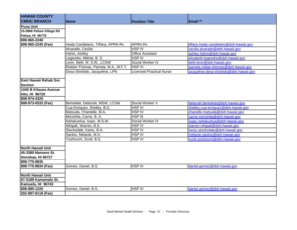| <b>HAWAII COUNTY</b>         |                                     |                                 |                                         |
|------------------------------|-------------------------------------|---------------------------------|-----------------------------------------|
| <b>CMHC BRANCH</b>           | <b>Name</b>                         | <b>Position Title</b>           | Email **                                |
| <b>Puna Unit</b>             |                                     |                                 |                                         |
| 15-2866 Pahoa Village Rd     |                                     |                                 |                                         |
| Pahoa, HI 96778              |                                     |                                 |                                         |
| 808-965-2240                 |                                     |                                 |                                         |
| 808-965-2245 (Fax)           | Healy-Candelario, Tiffany, APRN-Rx  | APRN-Rx                         | tiffany.healy-candelario@doh.hawaii.gov |
|                              | Alvarado, Cecilia                   | <b>HSP IV</b>                   | cecilia.alvarado@doh.hawaii.gov         |
|                              | Hahm, Ashley                        | <b>Office Assistant</b>         | ashley.hahm@doh.hawaii.gov              |
|                              | Legendre, Mikhel, B. S.             | <b>HSP IV</b>                   | elizabeth.legendre@doh.hawaii.gov       |
|                              | Lerer, Beth, M. S.W., LCSW          | Social Worker IV                | beth.lerer@doh.hawaii.gov               |
|                              | Roldan-Thomas, Pamela, M.A., M.F.T. | <b>HSP IV</b>                   | pamela.roldan-thomas@doh.hawaii.gov     |
|                              | Desa-Shishido, Jacqueline, LPN      | <b>Licensed Practical Nurse</b> | jacqueline.desa-shishido@doh.hawaii.gov |
| <b>East Hawaii Rehab Svc</b> |                                     |                                 |                                         |
| <b>Section</b>               |                                     |                                 |                                         |
| 1045 B Kilauea Avenue        |                                     |                                 |                                         |
| <b>Hilo, HI 96720</b>        |                                     |                                 |                                         |
| 808-974-4320                 |                                     |                                 |                                         |
| 808-973-0533 (Fax)           | Bertolette. Deborah, MSW, LCSW      | Social Worker V                 | deborah.bertolette@doh.hawaii.gov       |
|                              | Cua-Enriquez, Shelley, B.S.         | <b>HSP IV</b>                   | shelley.cua-enriquez@doh.hawaii.gov     |
|                              | Matsuda, Chantelle, M.A.            | <b>HSP IV</b>                   | chanelle.matsuda@doh.hawaii.gov         |
|                              | Morishita, Carrie, B. A.            | HSP III                         | carrie.morishita@doh.hawaii.gov         |
|                              | Nahakuelua, Isaac, M.S.W.           | Social Worker IV                | isaac.nahakuelua@doh.hawaii.gov         |
|                              | Nihipali, Warren, B.S.              | HSP IV                          | warren.nihipali@doh.hawaii.gov          |
|                              | Stocksdale, Kaniu, B.A.             | <b>HSP IV</b>                   | kaniu.stocksdale@doh.hawaii.gov         |
|                              | Santos, Melanie, M.A.               | HSP IV                          | melanie.santos@doh.hawaii.gov           |
|                              | Yoshizumi, Scott, B.S.              | <b>HSP IV</b>                   | scott.yoshizumi@doh.hawaii.gov          |
|                              |                                     |                                 |                                         |
| <b>North Hawaii Unit</b>     |                                     |                                 |                                         |
| 45-3380 Mamane St.           |                                     |                                 |                                         |
| Honokaa, HI 96727            |                                     |                                 |                                         |
| 808-775-8835                 |                                     |                                 |                                         |
| 808-775-8834 (Fax)           | Gomez, Daniel, B.S.                 | <b>HSP IV</b>                   | daniel.gomez@doh.hawaii.gov             |
|                              |                                     |                                 |                                         |
| North Hawaii Unit            |                                     |                                 |                                         |
| 67-5189 Kamamalu St.         |                                     |                                 |                                         |
| Kamuela, HI 96743            |                                     |                                 |                                         |
| 808-885-1220                 | Gomez, Daniel, B.S                  | <b>HSP IV</b>                   | daniel.gomez@doh.hawaii.gov             |
| 202-887-8118 (Fax)           |                                     |                                 |                                         |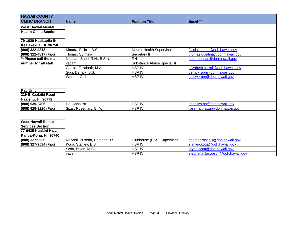| <b>HAWAII COUNTY</b>                                                                          |                                 |                                   |                                  |
|-----------------------------------------------------------------------------------------------|---------------------------------|-----------------------------------|----------------------------------|
| <b>CMHC BRANCH</b>                                                                            | <b>Name</b>                     | <b>Position Title</b>             | Email **                         |
| West Hawaii Mental                                                                            |                                 |                                   |                                  |
| <b>Health Clinic Section</b>                                                                  |                                 |                                   |                                  |
|                                                                                               |                                 |                                   |                                  |
| 79-1020 Haukapila St.                                                                         |                                 |                                   |                                  |
| Kealakekua, HI 96750                                                                          |                                 |                                   |                                  |
| (808) 322-4818                                                                                | Kimura, Felicia, B.S.           | Mental Health Supervisor          | felicia.kimura@doh.hawaii.gov    |
| (808) 322-4817 (Fax)                                                                          | Thoms, Quintina                 | Secretary II                      | thomas.quintina@doh.hawaii.gov   |
| ** Please call the main                                                                       | Noonan, Sheri, R.N., B.S.N.     | $\overline{RN}$                   | sheri.noonan@doh.hawaii.gov      |
| Inumber for all staff                                                                         | vacant                          | <b>Substance Abuse Specialist</b> |                                  |
|                                                                                               | Carroll, Elizabeth, M.A.        | <b>HSP IV</b>                     | elizabeth.carroll@doh.hawaii.gov |
|                                                                                               | Sugi, Derrick, B.S.             | <b>HSP IV</b>                     | derrick.sugi@doh.hawaii.gov      |
|                                                                                               | Werner, Gail                    | HSP IV                            | gail.werner@doh.hawaii.gov       |
| <b>Kau Unit</b><br>219-B Kaalaiki Road<br>Naalehu, HI 96772                                   |                                 |                                   |                                  |
| (808) 939-2406                                                                                | Ha, Annaliza                    | <b>HSP IV</b>                     | annaliza.ha@doh.hawaii.gov       |
| (808) 929-9220 (Fax)                                                                          | Sizar, Rosemary, B. A.          | <b>HSP IV</b>                     | rosemary.sizar@doh.hawaii.gov    |
| West Hawaii Rehab<br><b>Services Section</b><br>77-6435 Kuakini Hwy.<br>Kailua-Kona, HI 96740 |                                 |                                   |                                  |
| (808) 327-9530                                                                                | Rosehill-Briseno, Heather, B.S. | Clubhouse (RSS) Supervisor        | heather.rosehill@doh.hawaii.gov  |
| (808) 327-9534 (Fax)                                                                          | Koga, Stanley, B.S.             | <b>HSP IV</b>                     | stanley.koga@doh.hawaii.gov      |
|                                                                                               | Scott, Bryon, M.S.              | <b>HSP IV</b>                     | bryon.scott@doh.hawaii.gov       |
|                                                                                               | vacant                          | <b>HSP IV</b>                     | stephana.Jacobson@doh.hawaii.gov |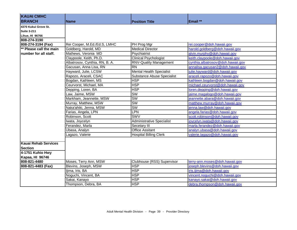| <b>KAUAI CMHC</b>       |                                |                                   |                                   |
|-------------------------|--------------------------------|-----------------------------------|-----------------------------------|
| <b>BRANCH</b>           | <b>Name</b>                    | <b>Position Title</b>             | Email **                          |
| 4370 Kukui Grove St.    |                                |                                   |                                   |
| Suite 3-211             |                                |                                   |                                   |
| Lihue, HI 96766         |                                |                                   |                                   |
| 808-274-3190            |                                |                                   |                                   |
| 808-274-3194 (Fax)      | Rei Cooper, M.Ed./Ed.S, LMHC   | PH Prog Mgr                       | rei.cooper@doh.hawaii.gov         |
| ** Please call the main | Goldberg, Harold, MD           | <b>Medical Director</b>           | harold.goldberg@doh.hawaii.gov    |
| Inumber for all staff.  | Mathews, Veronia MD            | Psychiatrist                      | alvin.murphy@doh.hawaii.gov       |
|                         | Claypoole, Keith, Ph.D.        | <b>Clinical Psychologist</b>      | keith.claypoole@doh.hawaii.gov    |
|                         | Albatrosov, Cynthia, RN, B. A. | <b>RNV-Quality Management</b>     | cynthia.albatrosov@doh.hawaii.gov |
|                         | Gacusan, Anna Lisa, RN         | <b>RN</b>                         | annalisa.gacusan2@doh.hawaii.gov  |
|                         | Hayward, Julie, LCSW           | <b>Mental Health Specialist</b>   | julie.hayward@doh.hawaii.gov      |
|                         | Rapozo, Araceli, CSAC          | <b>Substance Abuse Specialist</b> | araceli.rapozo@doh.hawaii.gov     |
|                         | Bogdan, Kathleen, MS           | <b>HSP</b>                        | kathleen.bogdan@doh.hawaii.gov    |
|                         | Ceurvorst, Michael, MA         | <b>HSP</b>                        | michael.ceurvorst@doh.hawaii.gov  |
|                         | Depping, Loren, BA             | <b>HSP</b>                        | loren.depping@doh.hawaii.gov      |
|                         | Law, Jaime, MSW                | <b>SW</b>                         | jaime.magalogo@doh.hawaii.gov     |
|                         |                                | <b>SW</b>                         |                                   |
|                         | Markham, Jeannette, MSW        | <b>SW</b>                         | jeannette.abara@doh.hawaii.gov    |
|                         | Murray, Matthew, MSW           |                                   | matthew.murray@doh.hawaii.gov     |
|                         | Naka'ahiki, Jenna, MSW         | <b>SW</b>                         | jenna.law@doh.hawaii.gov          |
|                         | Farias, Angela, LPN            | <b>LPN</b>                        | angela.farias@doh.hawaii.gov      |
|                         | Robinson, Scott                | <b>SWV</b>                        | scott.robinson@doh.hawaii.gov     |
|                         | Iwata, Joycelyn                | <b>Administrative Specialist</b>  | joycelyn.iwata@doh.hawaii.gov     |
|                         | Ferandez, Marla                | Secetary III                      | marla.ferandez@doh.hawaii.gov     |
|                         | Ubasa, Analyn                  | <b>Office Assitant</b>            | analyn.ubasa@doh.hawaii.gov       |
|                         | Lagazo, Valerie                | <b>Hospital Billing Clerk</b>     | valerie.lagazo@doh.hawaii.gov     |
|                         |                                |                                   |                                   |
| Kauai Rehab Services    |                                |                                   |                                   |
| <b>Section</b>          |                                |                                   |                                   |
| 4-1751 Kuhio Hwy        |                                |                                   |                                   |
| Kapaa, HI 96746         |                                |                                   |                                   |
| 808-821-4480            | Moses, Terry Ann, MSW          | Clubhouse (RSS) Supervisor        | terry-ann.moses@doh.hawaii.gov    |
| 808-821-4483 (Fax)      | Blevins, Joseph, MSW           | <b>HSP</b>                        | joseph.blevins@doh.hawaii.gov     |
|                         | Ijima, Iris, BA                | <b>HSP</b>                        | iris.ijima@doh.hawaii.gov         |
|                         | Noguchi, Vincent, BA           | <b>HSP</b>                        | vincent.noguchi@doh.hawaii.gov    |
|                         | Sakai, Kanayo                  | <b>HSP</b>                        | kanayo.sakai@doh.hawaii.gov       |
|                         | Thompson, Debra, BA            | <b>HSP</b>                        | debra.thompson@doh.hawaii.gov     |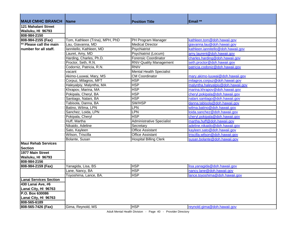| <b>MAUI CMHC BRANCH</b>       | Name                            | <b>Position Title</b>            | Email **                           |
|-------------------------------|---------------------------------|----------------------------------|------------------------------------|
| 121 Mahalani Street           |                                 |                                  |                                    |
| Wailuku, HI 96793             |                                 |                                  |                                    |
| 808-984-2150                  |                                 |                                  |                                    |
| 808-984-2155 (Fax)            | Tom, Kathleen (Trina), MPH, PhD | PH Program Manager               | kathleen.tom@doh.hawaii.gov        |
| ** Please call the main       | Lau, Giavanna, MD               | <b>Medical Director</b>          | giavanna.lau@doh.hawaii.gov        |
| Inumber for all staff.        | Iannitello, Kathleen, MD        | Psychiatrist                     | kathleen.iannitello@doh.hawaii.gov |
|                               | Lauret, Amy, MD                 | Psychiatrist (Locum)             | amy.laurent@doh.hawaii.gov         |
|                               | Harding, Charles, Ph.D.         | <b>Forensic Coordinator</b>      | charles.harding@doh.hawaii.gov     |
|                               | Proctor, Seth, R.N.             | <b>RNV-Quality Management</b>    | seth.proctor@doh.hawaii.gov        |
|                               | Codorniz, Patricia, R.N.        | <b>RNIV</b>                      | patricia.codoniz@doh.hawaii.gov    |
|                               | vacant                          | <b>Mental Health Specialist</b>  |                                    |
|                               | Akimo-Luuwai, Mary, MS          | <b>CM Coordinator</b>            | mary.akimo-luuwai@doh.hawaii.gov   |
|                               | Corpuz, Milagros, MFT           | HSP                              | milagros.corpuz@doh.hawaii.gov     |
|                               | Haleyalpiy, Malyntha, MA        | <b>HSP</b>                       | malyntha.haleyalpiy@doh.hawaii.gov |
|                               | Khrapov, Marina, MA             | <b>HSP</b>                       | marina.khrapov@doh.hawaii.gov      |
|                               | Pokipala, Cheryl, BA            | HSP                              | cheryl.pokipala@doh.hawaii.gov     |
|                               | Santiago, Nalani, BA            | <b>HSP</b>                       | nalani.santiago@doh.hawaii.gov     |
|                               | Tabisola, Danna, BA             | SW/HSP                           | danna.tabisola@doh.hawaii.gov      |
|                               | Batino, Wilma, LPN              | LPN                              | wilma.batino@doh.hawaii.gov        |
|                               | Sanchez, Loida, LPN             | <b>LPN</b>                       | loida.sanchez@doh.hawaii.gov       |
|                               | Pokipala, Cheryl                | <b>HSP</b>                       | cheryl.pokipala@doh.hawaii.gov     |
|                               | Huff, Martha                    | <b>Administrative Specialist</b> | martha.huff@doh.hawaii.gov         |
|                               | Nikaido, Adeline                | Secretary                        | adeline.nikaido@doh.hawaii.gov     |
|                               | Sato, Kayleen                   | <b>Office Assistant</b>          | kayleen.sato@doh.hawaii.gov        |
|                               | Wilson, Triscilla               | <b>Office Assistant</b>          | triscilla.wilson@doh.hawaii.gov    |
|                               | Bolante, Susan                  | <b>Hospital Billing Clerk</b>    | susan.bolante@doh.hawaii.gov       |
| <b>Maui Rehab Services</b>    |                                 |                                  |                                    |
| <b>Section</b>                |                                 |                                  |                                    |
| 1977 Main Street              |                                 |                                  |                                    |
| Wailuku, HI 96793             |                                 |                                  |                                    |
| 808-984-2156                  |                                 |                                  |                                    |
| 808-984-2159 (Fax)            | Yanagida, Lisa, BS              | <b>HSP</b>                       | lisa.yanagida@doh.hawaii.gov       |
|                               | Lane, Nancy, BA                 | <b>HSP</b>                       | nancy.lane@doh.hawaii.gov          |
|                               | Toyoshima, Lance, BA.           | <b>HSP</b>                       | lance.toyoshima@doh.hawaii.gov     |
| <b>Lanai Services Section</b> |                                 |                                  |                                    |
| 430 Lanai Ave, #6             |                                 |                                  |                                    |
| Lanai City, HI 96763          |                                 |                                  |                                    |
| P.O. Box 630086               |                                 |                                  |                                    |
| Lanai City, HI 96763          |                                 |                                  |                                    |
| 808-565-6189                  |                                 |                                  |                                    |
| 808-565-7426 (Fax)            | Gima, Reynold, MS               | <b>HSP</b>                       | reynold.gima@doh.hawaii.gov        |